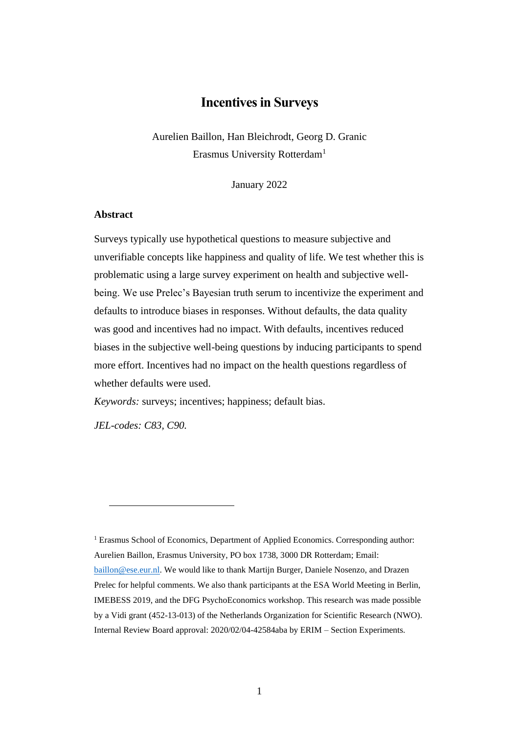# **Incentives in Surveys**

Aurelien Baillon, Han Bleichrodt, Georg D. Granic Erasmus University Rotterdam<sup>1</sup>

January 2022

### **Abstract**

Surveys typically use hypothetical questions to measure subjective and unverifiable concepts like happiness and quality of life. We test whether this is problematic using a large survey experiment on health and subjective wellbeing. We use Prelec's Bayesian truth serum to incentivize the experiment and defaults to introduce biases in responses. Without defaults, the data quality was good and incentives had no impact. With defaults, incentives reduced biases in the subjective well-being questions by inducing participants to spend more effort. Incentives had no impact on the health questions regardless of whether defaults were used.

*Keywords:* surveys; incentives; happiness; default bias.

*JEL-codes: C83, C90.*

<sup>1</sup> Erasmus School of Economics, Department of Applied Economics. Corresponding author: Aurelien Baillon, Erasmus University, PO box 1738, 3000 DR Rotterdam; Email: [baillon@ese.eur.nl.](mailto:baillon@ese.eur.nl) We would like to thank Martijn Burger, Daniele Nosenzo, and Drazen Prelec for helpful comments. We also thank participants at the ESA World Meeting in Berlin, IMEBESS 2019, and the DFG PsychoEconomics workshop. This research was made possible by a Vidi grant (452-13-013) of the Netherlands Organization for Scientific Research (NWO). Internal Review Board approval: 2020/02/04-42584aba by ERIM – Section Experiments.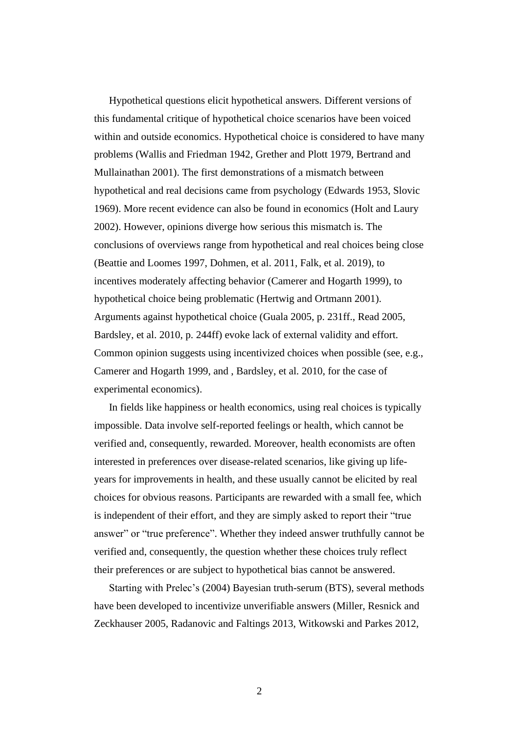Hypothetical questions elicit hypothetical answers. Different versions of this fundamental critique of hypothetical choice scenarios have been voiced within and outside economics. Hypothetical choice is considered to have many problems (Wallis and Friedman 1942, Grether and Plott 1979, Bertrand and Mullainathan 2001). The first demonstrations of a mismatch between hypothetical and real decisions came from psychology (Edwards 1953, Slovic 1969). More recent evidence can also be found in economics (Holt and Laury 2002). However, opinions diverge how serious this mismatch is. The conclusions of overviews range from hypothetical and real choices being close (Beattie and Loomes 1997, Dohmen, et al. 2011, Falk, et al. 2019), to incentives moderately affecting behavior (Camerer and Hogarth 1999), to hypothetical choice being problematic (Hertwig and Ortmann 2001). Arguments against hypothetical choice (Guala 2005, p. 231ff., Read 2005, Bardsley, et al. 2010, p. 244ff) evoke lack of external validity and effort. Common opinion suggests using incentivized choices when possible (see, e.g., Camerer and Hogarth 1999, and , Bardsley, et al. 2010, for the case of experimental economics).

In fields like happiness or health economics, using real choices is typically impossible. Data involve self-reported feelings or health, which cannot be verified and, consequently, rewarded. Moreover, health economists are often interested in preferences over disease-related scenarios, like giving up lifeyears for improvements in health, and these usually cannot be elicited by real choices for obvious reasons. Participants are rewarded with a small fee, which is independent of their effort, and they are simply asked to report their "true answer" or "true preference". Whether they indeed answer truthfully cannot be verified and, consequently, the question whether these choices truly reflect their preferences or are subject to hypothetical bias cannot be answered.

Starting with Prelec's (2004) Bayesian truth-serum (BTS), several methods have been developed to incentivize unverifiable answers (Miller, Resnick and Zeckhauser 2005, Radanovic and Faltings 2013, Witkowski and Parkes 2012,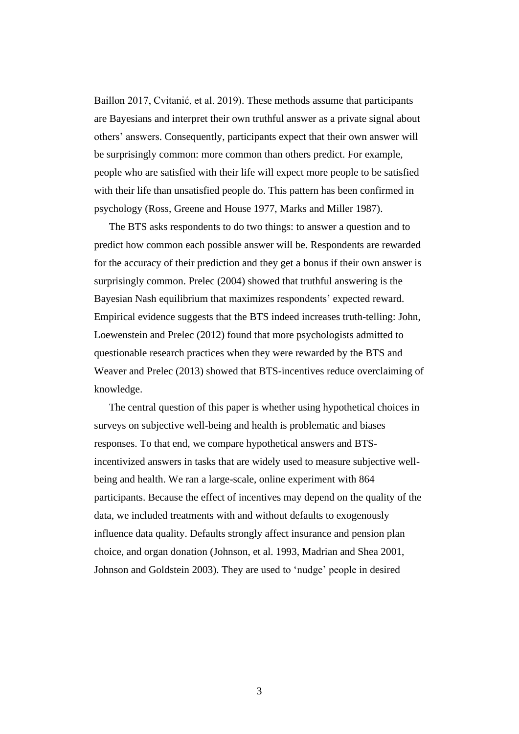Baillon 2017, Cvitanić, et al. 2019). These methods assume that participants are Bayesians and interpret their own truthful answer as a private signal about others' answers. Consequently, participants expect that their own answer will be surprisingly common: more common than others predict. For example, people who are satisfied with their life will expect more people to be satisfied with their life than unsatisfied people do. This pattern has been confirmed in psychology (Ross, Greene and House 1977, Marks and Miller 1987).

The BTS asks respondents to do two things: to answer a question and to predict how common each possible answer will be. Respondents are rewarded for the accuracy of their prediction and they get a bonus if their own answer is surprisingly common. Prelec (2004) showed that truthful answering is the Bayesian Nash equilibrium that maximizes respondents' expected reward. Empirical evidence suggests that the BTS indeed increases truth-telling: John, Loewenstein and Prelec (2012) found that more psychologists admitted to questionable research practices when they were rewarded by the BTS and Weaver and Prelec (2013) showed that BTS-incentives reduce overclaiming of knowledge.

The central question of this paper is whether using hypothetical choices in surveys on subjective well-being and health is problematic and biases responses. To that end, we compare hypothetical answers and BTSincentivized answers in tasks that are widely used to measure subjective wellbeing and health. We ran a large-scale, online experiment with 864 participants. Because the effect of incentives may depend on the quality of the data, we included treatments with and without defaults to exogenously influence data quality. Defaults strongly affect insurance and pension plan choice, and organ donation (Johnson, et al. 1993, Madrian and Shea 2001, Johnson and Goldstein 2003). They are used to 'nudge' people in desired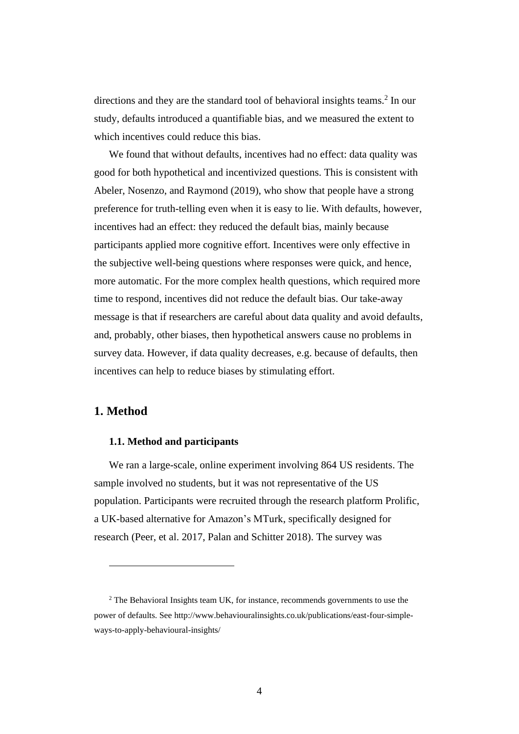directions and they are the standard tool of behavioral insights teams.<sup>2</sup> In our study, defaults introduced a quantifiable bias, and we measured the extent to which incentives could reduce this bias.

We found that without defaults, incentives had no effect: data quality was good for both hypothetical and incentivized questions. This is consistent with Abeler, Nosenzo, and Raymond (2019), who show that people have a strong preference for truth-telling even when it is easy to lie. With defaults, however, incentives had an effect: they reduced the default bias, mainly because participants applied more cognitive effort. Incentives were only effective in the subjective well-being questions where responses were quick, and hence, more automatic. For the more complex health questions, which required more time to respond, incentives did not reduce the default bias. Our take-away message is that if researchers are careful about data quality and avoid defaults, and, probably, other biases, then hypothetical answers cause no problems in survey data. However, if data quality decreases, e.g. because of defaults, then incentives can help to reduce biases by stimulating effort.

## **1. Method**

## **1.1. Method and participants**

We ran a large-scale, online experiment involving 864 US residents. The sample involved no students, but it was not representative of the US population. Participants were recruited through the research platform Prolific, a UK-based alternative for Amazon's MTurk, specifically designed for research (Peer, et al. 2017, Palan and Schitter 2018). The survey was

 $2$  The Behavioral Insights team UK, for instance, recommends governments to use the power of defaults. See http://www.behaviouralinsights.co.uk/publications/east-four-simpleways-to-apply-behavioural-insights/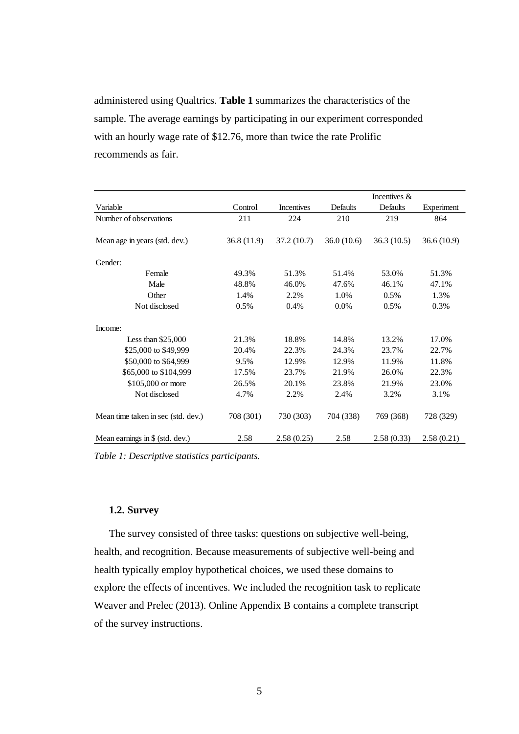administered using Qualtrics. **[Table 1](#page-4-0)** summarizes the characteristics of the sample. The average earnings by participating in our experiment corresponded with an hourly wage rate of \$12.76, more than twice the rate Prolific recommends as fair.

|                                    |            |            |            | Incentives $\&$ |            |
|------------------------------------|------------|------------|------------|-----------------|------------|
| Variable                           | Control    | Incentives | Defaults   | Defaults        | Experiment |
| Number of observations             | 211        | 224        | 210        | 219             | 864        |
| Mean age in years (std. dev.)      | 36.8(11.9) | 37.2(10.7) | 36.0(10.6) | 36.3(10.5)      | 36.6(10.9) |
| Gender:                            |            |            |            |                 |            |
| Female                             | 49.3%      | 51.3%      | 51.4%      | 53.0%           | 51.3%      |
| Male                               | 48.8%      | 46.0%      | 47.6%      | 46.1%           | 47.1%      |
| Other                              | 1.4%       | 2.2%       | 1.0%       | 0.5%            | 1.3%       |
| Not disclosed                      | 0.5%       | 0.4%       | 0.0%       | 0.5%            | 0.3%       |
| Income:                            |            |            |            |                 |            |
| Less than $$25,000$                | 21.3%      | 18.8%      | 14.8%      | 13.2%           | 17.0%      |
| \$25,000 to \$49,999               | 20.4%      | 22.3%      | 24.3%      | 23.7%           | 22.7%      |
| \$50,000 to \$64,999               | 9.5%       | 12.9%      | 12.9%      | 11.9%           | 11.8%      |
| \$65,000 to \$104,999              | 17.5%      | 23.7%      | 21.9%      | 26.0%           | 22.3%      |
| \$105,000 or more                  | 26.5%      | 20.1%      | 23.8%      | 21.9%           | 23.0%      |
| Not disclosed                      | 4.7%       | 2.2%       | 2.4%       | 3.2%            | 3.1%       |
| Mean time taken in sec (std. dev.) | 708 (301)  | 730 (303)  | 704 (338)  | 769 (368)       | 728 (329)  |
| Mean earnings in $$$ (std. dev.)   | 2.58       | 2.58(0.25) | 2.58       | 2.58(0.33)      | 2.58(0.21) |

<span id="page-4-0"></span>*Table 1: Descriptive statistics participants.* 

## **1.2. Survey**

The survey consisted of three tasks: questions on subjective well-being, health, and recognition. Because measurements of subjective well-being and health typically employ hypothetical choices, we used these domains to explore the effects of incentives. We included the recognition task to replicate Weaver and Prelec (2013). Online Appendix B contains a complete transcript of the survey instructions.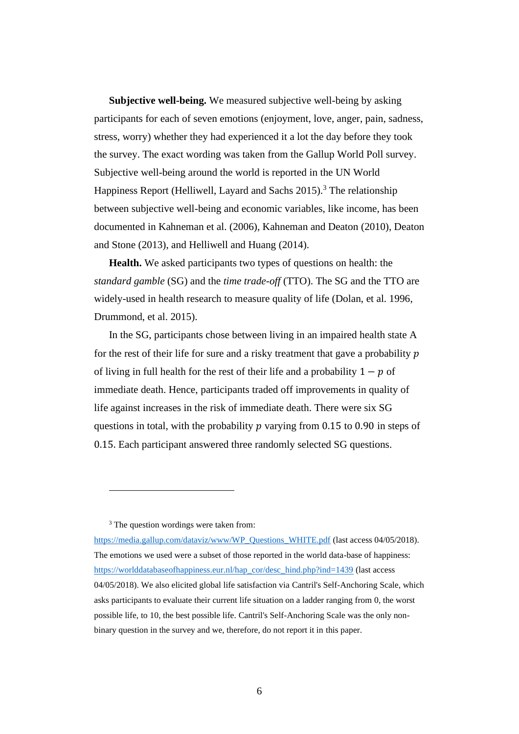**Subjective well-being.** We measured subjective well-being by asking participants for each of seven emotions (enjoyment, love, anger, pain, sadness, stress, worry) whether they had experienced it a lot the day before they took the survey. The exact wording was taken from the Gallup World Poll survey. Subjective well-being around the world is reported in the UN World Happiness Report (Helliwell, Layard and Sachs 2015). <sup>3</sup> The relationship between subjective well-being and economic variables, like income, has been documented in Kahneman et al. (2006), Kahneman and Deaton (2010), Deaton and Stone (2013), and Helliwell and Huang (2014).

**Health.** We asked participants two types of questions on health: the *standard gamble* (SG) and the *time trade-off* (TTO). The SG and the TTO are widely-used in health research to measure quality of life (Dolan, et al. 1996, Drummond, et al. 2015).

In the SG, participants chose between living in an impaired health state A for the rest of their life for sure and a risky treatment that gave a probability  $p$ of living in full health for the rest of their life and a probability  $1 - p$  of immediate death. Hence, participants traded off improvements in quality of life against increases in the risk of immediate death. There were six SG questions in total, with the probability  $p$  varying from 0.15 to 0.90 in steps of 0.15. Each participant answered three randomly selected SG questions.

<sup>3</sup> The question wordings were taken from:

[https://media.gallup.com/dataviz/www/WP\\_Questions\\_WHITE.pdf](https://media.gallup.com/dataviz/www/WP_Questions_WHITE.pdf) (last access 04/05/2018). The emotions we used were a subset of those reported in the world data-base of happiness: [https://worlddatabaseofhappiness.eur.nl/hap\\_cor/desc\\_hind.php?ind=1439](https://worlddatabaseofhappiness.eur.nl/hap_cor/desc_hind.php?ind=1439) (last access 04/05/2018). We also elicited global life satisfaction via Cantril's Self-Anchoring Scale, which asks participants to evaluate their current life situation on a ladder ranging from 0, the worst possible life, to 10, the best possible life. Cantril's Self-Anchoring Scale was the only nonbinary question in the survey and we, therefore, do not report it in this paper.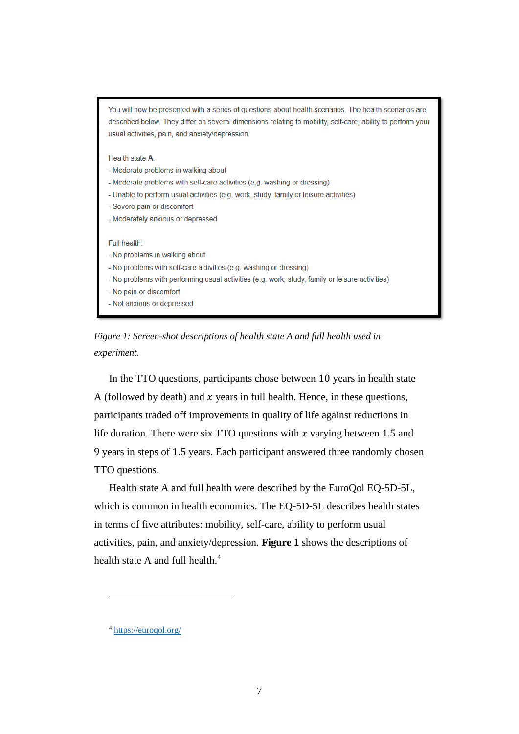You will now be presented with a series of questions about health scenarios. The health scenarios are described below. They differ on several dimensions relating to mobility, self-care, ability to perform your usual activities, pain, and anxiety/depression.

Health state A:

- Moderate problems in walking about
- Moderate problems with self-care activities (e.g. washing or dressing)
- Unable to perform usual activities (e.g. work, study, family or leisure activities)
- Severe pain or discomfort
- Moderately anxious or depressed

#### Full health:

- No problems in walking about
- No problems with self-care activities (e.g. washing or dressing)
- No problems with performing usual activities (e.g. work, study, family or leisure activities)
- No pain or discomfort
- Not anxious or depressed

<span id="page-6-0"></span>*Figure 1: Screen-shot descriptions of health state A and full health used in experiment.*

In the TTO questions, participants chose between 10 years in health state A (followed by death) and  $x$  years in full health. Hence, in these questions, participants traded off improvements in quality of life against reductions in life duration. There were six TTO questions with  $x$  varying between 1.5 and 9 years in steps of 1.5 years. Each participant answered three randomly chosen TTO questions.

Health state A and full health were described by the EuroQol EQ-5D-5L, which is common in health economics. The EQ-5D-5L describes health states in terms of five attributes: mobility, self-care, ability to perform usual activities, pain, and anxiety/depression. **[Figure 1](#page-6-0)** shows the descriptions of health state A and full health.<sup>4</sup>

<sup>4</sup> <https://euroqol.org/>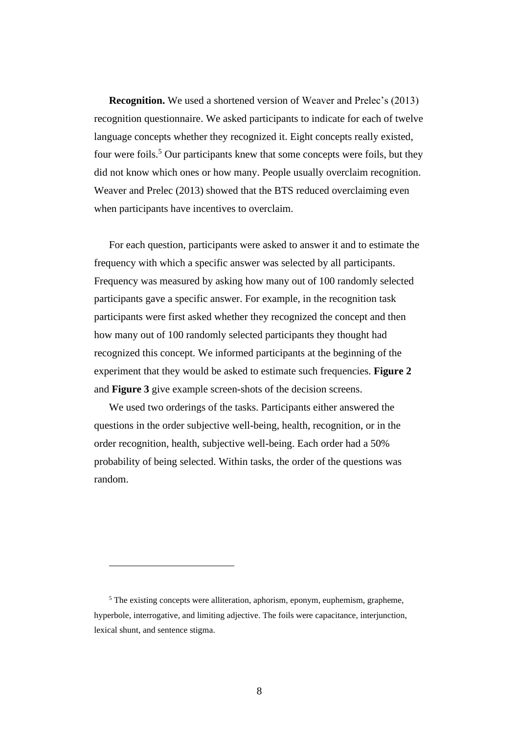**Recognition.** We used a shortened version of Weaver and Prelec's (2013) recognition questionnaire. We asked participants to indicate for each of twelve language concepts whether they recognized it. Eight concepts really existed, four were foils.<sup>5</sup> Our participants knew that some concepts were foils, but they did not know which ones or how many. People usually overclaim recognition. Weaver and Prelec (2013) showed that the BTS reduced overclaiming even when participants have incentives to overclaim.

For each question, participants were asked to answer it and to estimate the frequency with which a specific answer was selected by all participants. Frequency was measured by asking how many out of 100 randomly selected participants gave a specific answer. For example, in the recognition task participants were first asked whether they recognized the concept and then how many out of 100 randomly selected participants they thought had recognized this concept. We informed participants at the beginning of the experiment that they would be asked to estimate such frequencies. **[Figure 2](#page-8-0)** and **[Figure 3](#page-8-1)** give example screen-shots of the decision screens.

We used two orderings of the tasks. Participants either answered the questions in the order subjective well-being, health, recognition, or in the order recognition, health, subjective well-being. Each order had a 50% probability of being selected. Within tasks, the order of the questions was random.

<sup>5</sup> The existing concepts were alliteration, aphorism, eponym, euphemism, grapheme, hyperbole, interrogative, and limiting adjective. The foils were capacitance, interjunction, lexical shunt, and sentence stigma.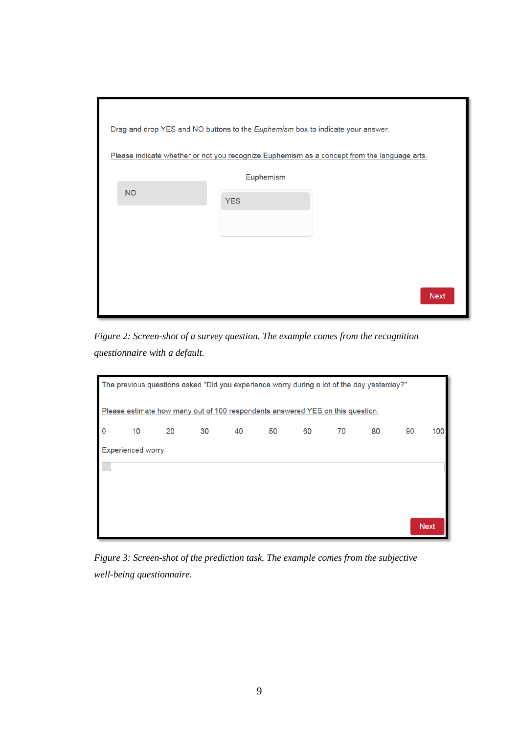| Drag and drop YES and NO buttons to the Euphemism box to indicate your answer. |            |                                                                                             |
|--------------------------------------------------------------------------------|------------|---------------------------------------------------------------------------------------------|
|                                                                                |            | Please indicate whether or not you recognize Euphemism as a concept from the language arts. |
|                                                                                | Euphemism  |                                                                                             |
| <b>NO</b>                                                                      | <b>YES</b> |                                                                                             |
|                                                                                |            |                                                                                             |
|                                                                                |            |                                                                                             |
|                                                                                |            |                                                                                             |
|                                                                                |            |                                                                                             |
|                                                                                |            | <b>Next</b>                                                                                 |

<span id="page-8-2"></span><span id="page-8-0"></span>*Figure 2: Screen-shot of a survey question. The example comes from the recognition questionnaire with a default.*

| The previous questions asked "Did you experience worry during a lot of the day yesterday?" |                          |                                                                                |    |    |    |    |    |    |    |             |
|--------------------------------------------------------------------------------------------|--------------------------|--------------------------------------------------------------------------------|----|----|----|----|----|----|----|-------------|
|                                                                                            |                          | Please estimate how many out of 100 respondents answered YES on this question. |    |    |    |    |    |    |    |             |
| $\mathbf 0$                                                                                | 10                       | 20                                                                             | 30 | 40 | 50 | 60 | 70 | 80 | 90 | 100         |
|                                                                                            | <b>Experienced worry</b> |                                                                                |    |    |    |    |    |    |    |             |
|                                                                                            |                          |                                                                                |    |    |    |    |    |    |    |             |
|                                                                                            |                          |                                                                                |    |    |    |    |    |    |    |             |
|                                                                                            |                          |                                                                                |    |    |    |    |    |    |    |             |
|                                                                                            |                          |                                                                                |    |    |    |    |    |    |    | <b>Next</b> |

<span id="page-8-3"></span><span id="page-8-1"></span>*Figure 3: Screen-shot of the prediction task. The example comes from the subjective well-being questionnaire.*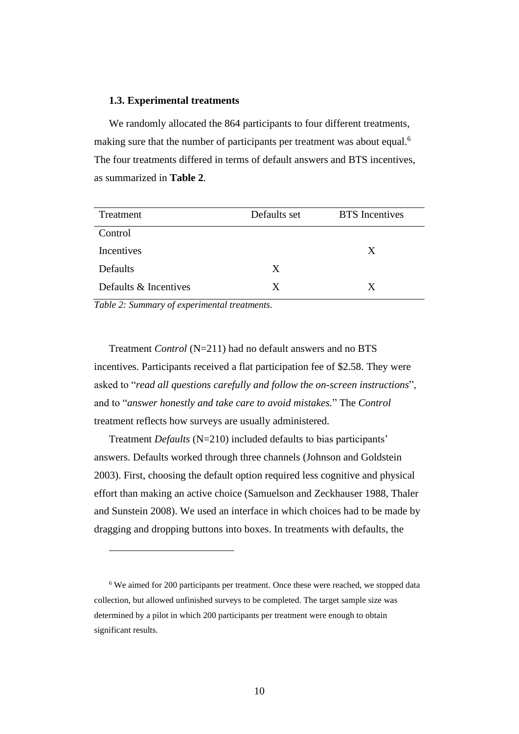#### **1.3. Experimental treatments**

We randomly allocated the 864 participants to four different treatments, making sure that the number of participants per treatment was about equal.<sup>6</sup> The four treatments differed in terms of default answers and BTS incentives, as summarized in **[Table 2](#page-9-0)**.

| Treatment             | Defaults set | <b>BTS</b> Incentives |
|-----------------------|--------------|-----------------------|
| Control               |              |                       |
| Incentives            |              | X                     |
| Defaults              | X            |                       |
| Defaults & Incentives | X            | X                     |

<span id="page-9-0"></span>*Table 2: Summary of experimental treatments.*

Treatment *Control* (N=211) had no default answers and no BTS incentives. Participants received a flat participation fee of \$2.58. They were asked to "*read all questions carefully and follow the on-screen instructions*", and to "*answer honestly and take care to avoid mistakes.*" The *Control* treatment reflects how surveys are usually administered.

Treatment *Defaults* (N=210) included defaults to bias participants' answers. Defaults worked through three channels (Johnson and Goldstein 2003). First, choosing the default option required less cognitive and physical effort than making an active choice (Samuelson and Zeckhauser 1988, Thaler and Sunstein 2008). We used an interface in which choices had to be made by dragging and dropping buttons into boxes. In treatments with defaults, the

<sup>&</sup>lt;sup>6</sup> We aimed for 200 participants per treatment. Once these were reached, we stopped data collection, but allowed unfinished surveys to be completed. The target sample size was determined by a pilot in which 200 participants per treatment were enough to obtain significant results.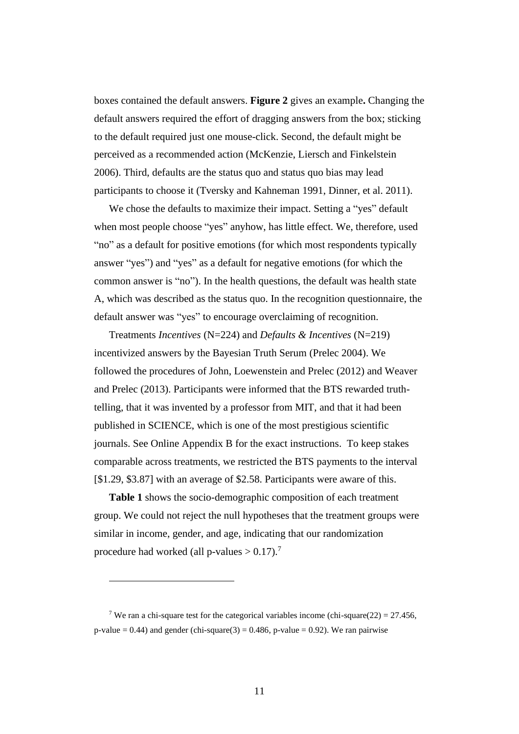boxes contained the default answers. **[Figure 2](#page-8-0)** gives an example**.** Changing the default answers required the effort of dragging answers from the box; sticking to the default required just one mouse-click. Second, the default might be perceived as a recommended action (McKenzie, Liersch and Finkelstein 2006). Third, defaults are the status quo and status quo bias may lead participants to choose it (Tversky and Kahneman 1991, Dinner, et al. 2011).

We chose the defaults to maximize their impact. Setting a "yes" default when most people choose "yes" anyhow, has little effect. We, therefore, used "no" as a default for positive emotions (for which most respondents typically answer "yes") and "yes" as a default for negative emotions (for which the common answer is "no"). In the health questions, the default was health state A, which was described as the status quo. In the recognition questionnaire, the default answer was "yes" to encourage overclaiming of recognition.

Treatments *Incentives* (N=224) and *Defaults & Incentives* (N=219) incentivized answers by the Bayesian Truth Serum (Prelec 2004). We followed the procedures of John, Loewenstein and Prelec (2012) and Weaver and Prelec (2013). Participants were informed that the BTS rewarded truthtelling, that it was invented by a professor from MIT, and that it had been published in SCIENCE, which is one of the most prestigious scientific journals. See Online Appendix B for the exact instructions. To keep stakes comparable across treatments, we restricted the BTS payments to the interval [\$1.29, \$3.87] with an average of \$2.58. Participants were aware of this.

**[Table 1](#page-4-0)** shows the socio-demographic composition of each treatment group. We could not reject the null hypotheses that the treatment groups were similar in income, gender, and age, indicating that our randomization procedure had worked (all p-values  $> 0.17$ ).<sup>7</sup>

<sup>&</sup>lt;sup>7</sup> We ran a chi-square test for the categorical variables income (chi-square(22) =  $27.456$ , p-value = 0.44) and gender (chi-square(3) = 0.486, p-value = 0.92). We ran pairwise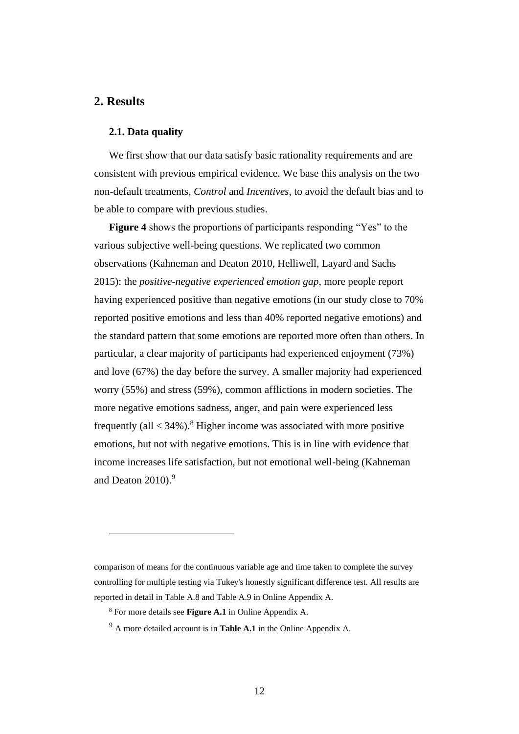# <span id="page-11-1"></span><span id="page-11-0"></span>**2. Results**

#### **2.1. Data quality**

We first show that our data satisfy basic rationality requirements and are consistent with previous empirical evidence. We base this analysis on the two non-default treatments, *Control* and *Incentives*, to avoid the default bias and to be able to compare with previous studies.

**[Figure 4](#page-12-0)** shows the proportions of participants responding "Yes" to the various subjective well-being questions. We replicated two common observations (Kahneman and Deaton 2010, Helliwell, Layard and Sachs 2015): the *positive-negative experienced emotion gap*, more people report having experienced positive than negative emotions (in our study close to 70% reported positive emotions and less than 40% reported negative emotions) and the standard pattern that some emotions are reported more often than others. In particular, a clear majority of participants had experienced enjoyment (73%) and love (67%) the day before the survey. A smaller majority had experienced worry (55%) and stress (59%), common afflictions in modern societies. The more negative emotions sadness, anger, and pain were experienced less frequently (all  $<$  34%).<sup>8</sup> Higher income was associated with more positive emotions, but not with negative emotions. This is in line with evidence that income increases life satisfaction, but not emotional well-being (Kahneman and Deaton 2010). 9

comparison of means for the continuous variable age and time taken to complete the survey controlling for multiple testing via Tukey's honestly significant difference test. All results are reported in detail in Table A.8 and Table A.9 in Online Appendix A.

<sup>8</sup> For more details see **[Figure A.1](#page-41-0)** in Online Appendix A.

<sup>9</sup> A more detailed account is in **[Table A.1](#page-34-0)** in the Online Appendix A.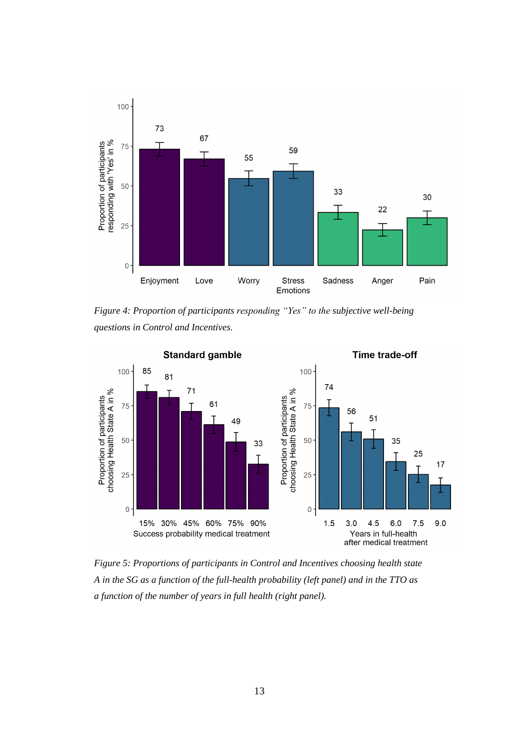

<span id="page-12-0"></span>*Figure 4: Proportion of participants responding "Yes" to the subjective well-being questions in Control and Incentives.*



<span id="page-12-1"></span>*Figure 5: Proportions of participants in Control and Incentives choosing health state A in the SG as a function of the full-health probability (left panel) and in the TTO as a function of the number of years in full health (right panel).*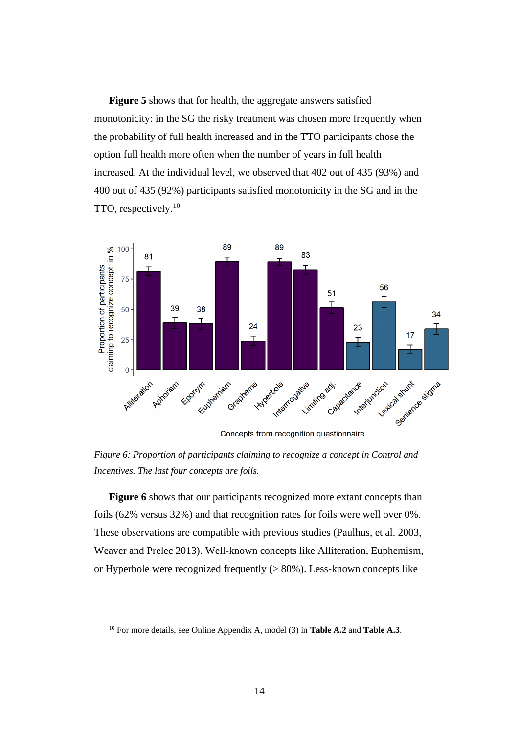**[Figure 5](#page-12-1)** shows that for health, the aggregate answers satisfied monotonicity: in the SG the risky treatment was chosen more frequently when the probability of full health increased and in the TTO participants chose the option full health more often when the number of years in full health increased. At the individual level, we observed that 402 out of 435 (93%) and 400 out of 435 (92%) participants satisfied monotonicity in the SG and in the TTO, respectively.<sup>10</sup>



Concepts from recognition questionnaire

<span id="page-13-0"></span>*Figure 6: Proportion of participants claiming to recognize a concept in Control and Incentives. The last four concepts are foils.*

[Figure 6](#page-13-0) shows that our participants recognized more extant concepts than foils (62% versus 32%) and that recognition rates for foils were well over 0%. These observations are compatible with previous studies (Paulhus, et al. 2003, Weaver and Prelec 2013). Well-known concepts like Alliteration, Euphemism, or Hyperbole were recognized frequently (> 80%). Less-known concepts like

<sup>10</sup> For more details, see Online Appendix A, model (3) in **[Table A.2](#page-35-0)** and **[Table A.3](#page-36-0)**.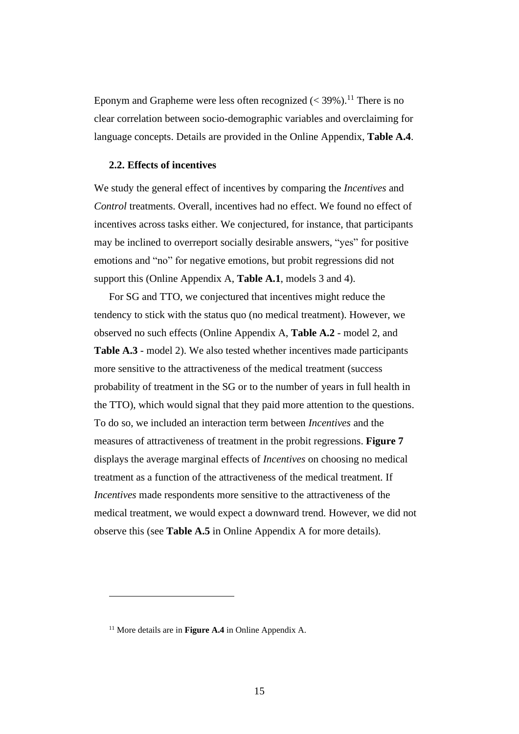Eponym and Grapheme were less often recognized  $(< 39\%)$ .<sup>11</sup> There is no clear correlation between socio-demographic variables and overclaiming for language concepts. Details are provided in the Online Appendix, **[Table A.4](#page-37-0)**.

#### **2.2. Effects of incentives**

We study the general effect of incentives by comparing the *Incentives* and *Control* treatments. Overall, incentives had no effect. We found no effect of incentives across tasks either. We conjectured, for instance, that participants may be inclined to overreport socially desirable answers, "yes" for positive emotions and "no" for negative emotions, but probit regressions did not support this (Online Appendix A, **[Table A.1](#page-34-0)**, models 3 and 4).

For SG and TTO, we conjectured that incentives might reduce the tendency to stick with the status quo (no medical treatment). However, we observed no such effects (Online Appendix A, **[Table A.2](#page-35-0)** - model 2, and **[Table A.3](#page-36-0)** - model 2). We also tested whether incentives made participants more sensitive to the attractiveness of the medical treatment (success probability of treatment in the SG or to the number of years in full health in the TTO), which would signal that they paid more attention to the questions. To do so, we included an interaction term between *Incentives* and the measures of attractiveness of treatment in the probit regressions. **[Figure 7](#page-15-0)** displays the average marginal effects of *Incentives* on choosing no medical treatment as a function of the attractiveness of the medical treatment. If *Incentives* made respondents more sensitive to the attractiveness of the medical treatment, we would expect a downward trend. However, we did not observe this (see **[Table A.5](#page-38-0)** in Online Appendix A for more details).

<sup>11</sup> More details are in **[Figure A.4](#page-43-0)** in Online Appendix A.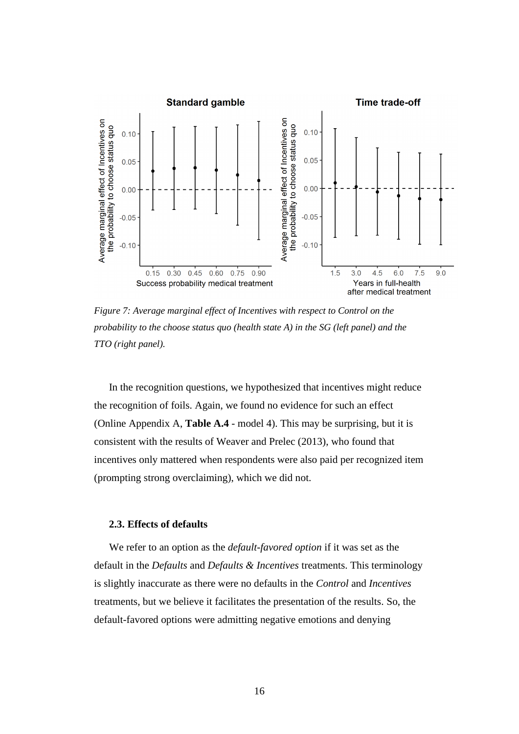

<span id="page-15-1"></span><span id="page-15-0"></span>*Figure 7: Average marginal effect of Incentives with respect to Control on the probability to the choose status quo (health state A) in the SG (left panel) and the TTO (right panel).*

In the recognition questions, we hypothesized that incentives might reduce the recognition of foils. Again, we found no evidence for such an effect (Online Appendix A, **[Table A.4](#page-37-0)** - model 4). This may be surprising, but it is consistent with the results of Weaver and Prelec (2013), who found that incentives only mattered when respondents were also paid per recognized item (prompting strong overclaiming), which we did not.

#### **2.3. Effects of defaults**

We refer to an option as the *default-favored option* if it was set as the default in the *Defaults* and *Defaults & Incentives* treatments. This terminology is slightly inaccurate as there were no defaults in the *Control* and *Incentives* treatments, but we believe it facilitates the presentation of the results. So, the default-favored options were admitting negative emotions and denying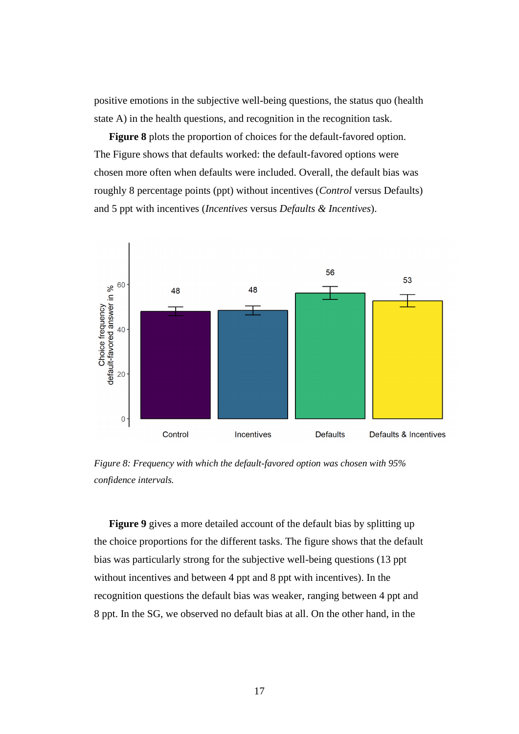positive emotions in the subjective well-being questions, the status quo (health state A) in the health questions, and recognition in the recognition task.

**[Figure 8](#page-16-0)** plots the proportion of choices for the default-favored option. The Figure shows that defaults worked: the default-favored options were chosen more often when defaults were included. Overall, the default bias was roughly 8 percentage points (ppt) without incentives (*Control* versus Defaults) and 5 ppt with incentives (*Incentives* versus *Defaults & Incentives*).



<span id="page-16-0"></span>*Figure 8: Frequency with which the default-favored option was chosen with 95% confidence intervals.*

**[Figure 9](#page-17-0)** gives a more detailed account of the default bias by splitting up the choice proportions for the different tasks. The figure shows that the default bias was particularly strong for the subjective well-being questions (13 ppt without incentives and between 4 ppt and 8 ppt with incentives). In the recognition questions the default bias was weaker, ranging between 4 ppt and 8 ppt. In the SG, we observed no default bias at all. On the other hand, in the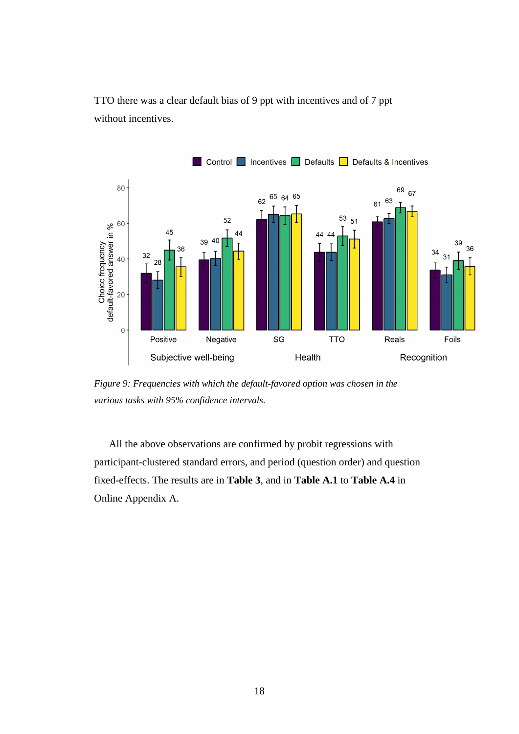TTO there was a clear default bias of 9 ppt with incentives and of 7 ppt without incentives.



<span id="page-17-0"></span>*Figure 9: Frequencies with which the default-favored option was chosen in the various tasks with 95% confidence intervals.*

All the above observations are confirmed by probit regressions with participant-clustered standard errors, and period (question order) and question fixed-effects. The results are in **[Table 3](#page-18-0)**, and in **[Table A.1](#page-34-0)** to **[Table A.4](#page-37-0)** in Online Appendix A.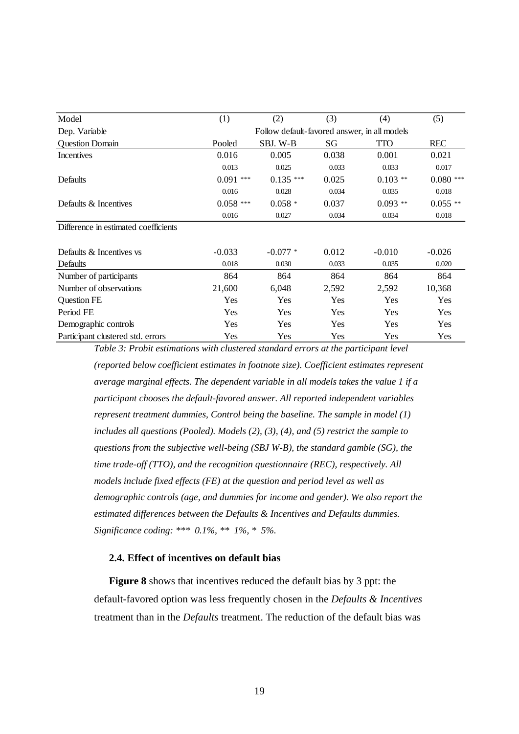| Model                                | (1)                                          | (2)        | (3)   | (4)        | (5)        |  |  |  |
|--------------------------------------|----------------------------------------------|------------|-------|------------|------------|--|--|--|
| Dep. Variable                        | Follow default-favored answer, in all models |            |       |            |            |  |  |  |
| <b>Question Domain</b>               | Pooled                                       | SBJ. W-B   | SG    | <b>TTO</b> | <b>REC</b> |  |  |  |
| Incentives                           | 0.016                                        | 0.005      | 0.038 | 0.001      | 0.021      |  |  |  |
|                                      | 0.013                                        | 0.025      | 0.033 | 0.033      | 0.017      |  |  |  |
| Defaults                             | $0.091***$                                   | $0.135***$ | 0.025 | $0.103$ ** | $0.080***$ |  |  |  |
|                                      | 0.016                                        | 0.028      | 0.034 | 0.035      | 0.018      |  |  |  |
| Defaults & Incentives                | $0.058$ ***                                  | $0.058*$   | 0.037 | $0.093**$  | $0.055**$  |  |  |  |
|                                      | 0.016                                        | 0.027      | 0.034 | 0.034      | 0.018      |  |  |  |
| Difference in estimated coefficients |                                              |            |       |            |            |  |  |  |
|                                      |                                              |            |       |            |            |  |  |  |
| Defaults & Incentives vs             | $-0.033$                                     | $-0.077*$  | 0.012 | $-0.010$   | $-0.026$   |  |  |  |
| Defaults                             | 0.018                                        | 0.030      | 0.033 | 0.035      | 0.020      |  |  |  |
| Number of participants               | 864                                          | 864        | 864   | 864        | 864        |  |  |  |
| Number of observations               | 21,600                                       | 6,048      | 2,592 | 2,592      | 10,368     |  |  |  |
| <b>Question FE</b>                   | Yes                                          | Yes        | Yes   | Yes        | Yes        |  |  |  |
| Period FE                            | Yes                                          | Yes        | Yes   | Yes        | Yes        |  |  |  |
| Demographic controls                 | Yes                                          | Yes        | Yes   | Yes        | Yes        |  |  |  |
| Participant clustered std. errors    | Yes                                          | Yes        | Yes   | Yes        | Yes        |  |  |  |

<span id="page-18-1"></span><span id="page-18-0"></span>*Table 3: Probit estimations with clustered standard errors at the participant level (reported below coefficient estimates in footnote size). Coefficient estimates represent average marginal effects. The dependent variable in all models takes the value 1 if a participant chooses the default-favored answer. All reported independent variables represent treatment dummies, Control being the baseline. The sample in model (1) includes all questions (Pooled). Models (2), (3), (4), and (5) restrict the sample to questions from the subjective well-being (SBJ W-B), the standard gamble (SG), the time trade-off (TTO), and the recognition questionnaire (REC), respectively. All models include fixed effects (FE) at the question and period level as well as demographic controls (age, and dummies for income and gender). We also report the estimated differences between the Defaults & Incentives and Defaults dummies. Significance coding: \*\*\* 0.1%, \*\* 1%, \* 5%.*

#### **2.4. Effect of incentives on default bias**

**[Figure 8](#page-16-0)** shows that incentives reduced the default bias by 3 ppt: the default-favored option was less frequently chosen in the *Defaults & Incentives* treatment than in the *Defaults* treatment. The reduction of the default bias was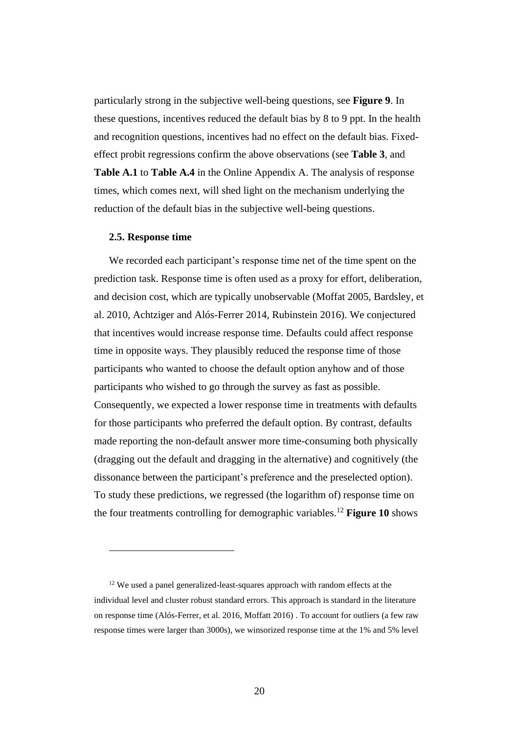particularly strong in the subjective well-being questions, see **[Figure 9](#page-17-0)**. In these questions, incentives reduced the default bias by 8 to 9 ppt. In the health and recognition questions, incentives had no effect on the default bias. Fixedeffect probit regressions confirm the above observations (see **[Table 3](#page-18-0)**, and **[Table A.1](#page-34-0)** to **[Table A.4](#page-37-0)** in the Online Appendix A. The analysis of response times, which comes next, will shed light on the mechanism underlying the reduction of the default bias in the subjective well-being questions.

#### **2.5. Response time**

We recorded each participant's response time net of the time spent on the prediction task. Response time is often used as a proxy for effort, deliberation, and decision cost, which are typically unobservable (Moffat 2005, Bardsley, et al. 2010, Achtziger and Alós-Ferrer 2014, Rubinstein 2016). We conjectured that incentives would increase response time. Defaults could affect response time in opposite ways. They plausibly reduced the response time of those participants who wanted to choose the default option anyhow and of those participants who wished to go through the survey as fast as possible. Consequently, we expected a lower response time in treatments with defaults for those participants who preferred the default option. By contrast, defaults made reporting the non-default answer more time-consuming both physically (dragging out the default and dragging in the alternative) and cognitively (the dissonance between the participant's preference and the preselected option). To study these predictions, we regressed (the logarithm of) response time on the four treatments controlling for demographic variables.<sup>12</sup> **[Figure 10](#page-20-0)** shows

<sup>&</sup>lt;sup>12</sup> We used a panel generalized-least-squares approach with random effects at the individual level and cluster robust standard errors. This approach is standard in the literature on response time (Alós-Ferrer, et al. 2016, Moffatt 2016) . To account for outliers (a few raw response times were larger than 3000s), we winsorized response time at the 1% and 5% level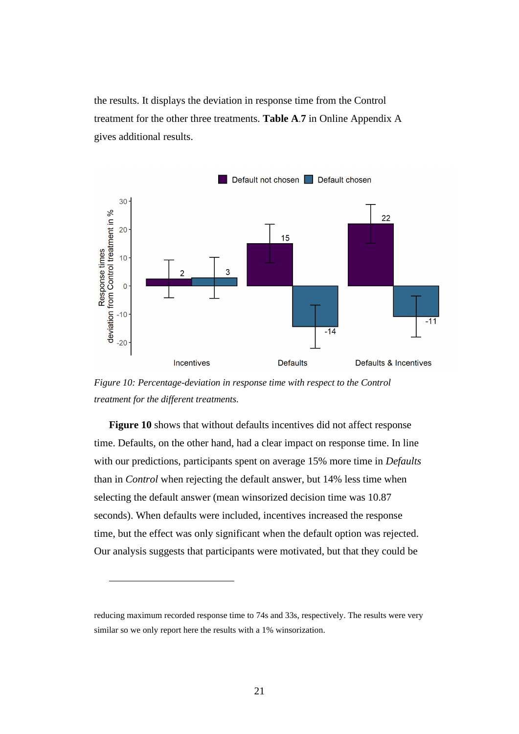the results. It displays the deviation in response time from the Control treatment for the other three treatments. **[Table A](#page-40-0)**.**7** in Online Appendix A gives additional results.



<span id="page-20-0"></span>*Figure 10: Percentage-deviation in response time with respect to the Control treatment for the different treatments.*

**[Figure 10](#page-20-0)** shows that without defaults incentives did not affect response time. Defaults, on the other hand, had a clear impact on response time. In line with our predictions, participants spent on average 15% more time in *Defaults* than in *Control* when rejecting the default answer, but 14% less time when selecting the default answer (mean winsorized decision time was 10.87 seconds). When defaults were included, incentives increased the response time, but the effect was only significant when the default option was rejected. Our analysis suggests that participants were motivated, but that they could be

reducing maximum recorded response time to 74s and 33s, respectively. The results were very similar so we only report here the results with a 1% winsorization.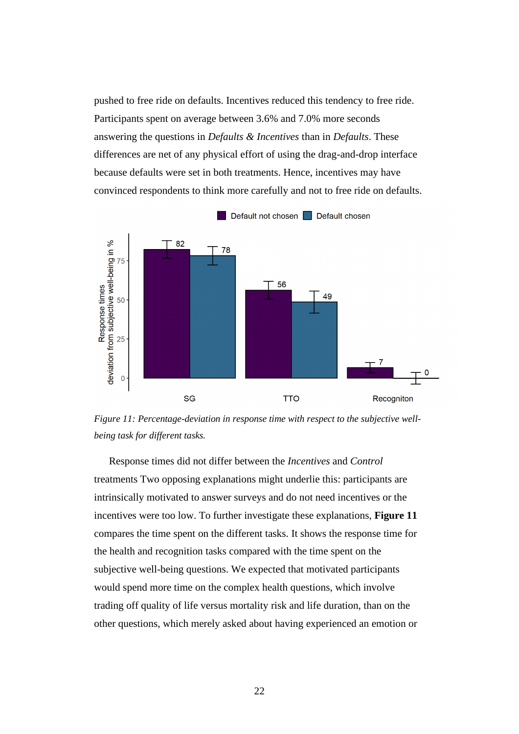pushed to free ride on defaults. Incentives reduced this tendency to free ride. Participants spent on average between 3.6% and 7.0% more seconds answering the questions in *Defaults & Incentives* than in *Defaults*. These differences are net of any physical effort of using the drag-and-drop interface because defaults were set in both treatments. Hence, incentives may have convinced respondents to think more carefully and not to free ride on defaults.



<span id="page-21-0"></span>*Figure 11: Percentage-deviation in response time with respect to the subjective wellbeing task for different tasks.*

Response times did not differ between the *Incentives* and *Control*  treatments Two opposing explanations might underlie this: participants are intrinsically motivated to answer surveys and do not need incentives or the incentives were too low. To further investigate these explanations, **[Figure 11](#page-21-0)** compares the time spent on the different tasks. It shows the response time for the health and recognition tasks compared with the time spent on the subjective well-being questions. We expected that motivated participants would spend more time on the complex health questions, which involve trading off quality of life versus mortality risk and life duration, than on the other questions, which merely asked about having experienced an emotion or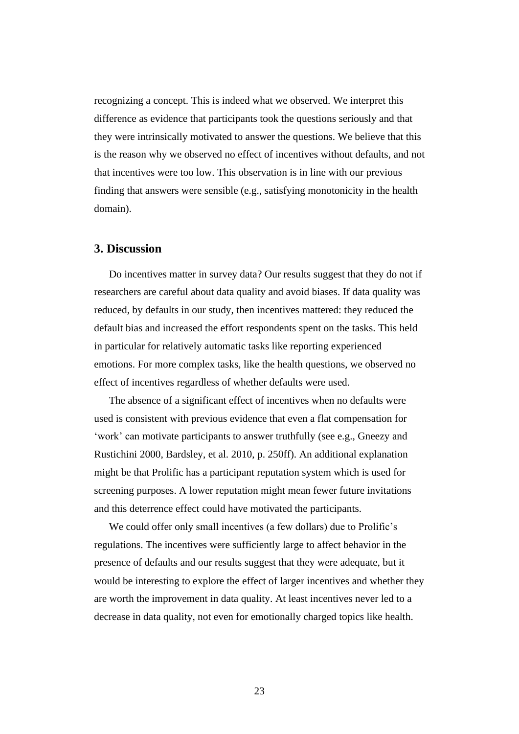recognizing a concept. This is indeed what we observed. We interpret this difference as evidence that participants took the questions seriously and that they were intrinsically motivated to answer the questions. We believe that this is the reason why we observed no effect of incentives without defaults, and not that incentives were too low. This observation is in line with our previous finding that answers were sensible (e.g., satisfying monotonicity in the health domain).

## **3. Discussion**

Do incentives matter in survey data? Our results suggest that they do not if researchers are careful about data quality and avoid biases. If data quality was reduced, by defaults in our study, then incentives mattered: they reduced the default bias and increased the effort respondents spent on the tasks. This held in particular for relatively automatic tasks like reporting experienced emotions. For more complex tasks, like the health questions, we observed no effect of incentives regardless of whether defaults were used.

The absence of a significant effect of incentives when no defaults were used is consistent with previous evidence that even a flat compensation for 'work' can motivate participants to answer truthfully (see e.g., Gneezy and Rustichini 2000, Bardsley, et al. 2010, p. 250ff). An additional explanation might be that Prolific has a participant reputation system which is used for screening purposes. A lower reputation might mean fewer future invitations and this deterrence effect could have motivated the participants.

We could offer only small incentives (a few dollars) due to Prolific's regulations. The incentives were sufficiently large to affect behavior in the presence of defaults and our results suggest that they were adequate, but it would be interesting to explore the effect of larger incentives and whether they are worth the improvement in data quality. At least incentives never led to a decrease in data quality, not even for emotionally charged topics like health.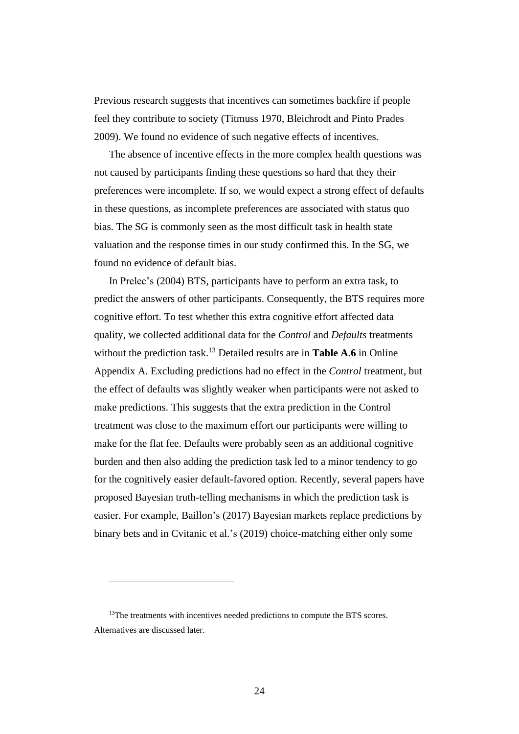Previous research suggests that incentives can sometimes backfire if people feel they contribute to society (Titmuss 1970, Bleichrodt and Pinto Prades 2009). We found no evidence of such negative effects of incentives.

The absence of incentive effects in the more complex health questions was not caused by participants finding these questions so hard that they their preferences were incomplete. If so, we would expect a strong effect of defaults in these questions, as incomplete preferences are associated with status quo bias. The SG is commonly seen as the most difficult task in health state valuation and the response times in our study confirmed this. In the SG, we found no evidence of default bias.

In Prelec's (2004) BTS, participants have to perform an extra task, to predict the answers of other participants. Consequently, the BTS requires more cognitive effort. To test whether this extra cognitive effort affected data quality, we collected additional data for the *Control* and *Defaults* treatments without the prediction task. <sup>13</sup> Detailed results are in **[Table A](#page-39-0)**.**6** in Online Appendix A. Excluding predictions had no effect in the *Control* treatment, but the effect of defaults was slightly weaker when participants were not asked to make predictions. This suggests that the extra prediction in the Control treatment was close to the maximum effort our participants were willing to make for the flat fee. Defaults were probably seen as an additional cognitive burden and then also adding the prediction task led to a minor tendency to go for the cognitively easier default-favored option. Recently, several papers have proposed Bayesian truth-telling mechanisms in which the prediction task is easier. For example, Baillon's (2017) Bayesian markets replace predictions by binary bets and in Cvitanic et al.'s (2019) choice-matching either only some

<sup>&</sup>lt;sup>13</sup>The treatments with incentives needed predictions to compute the BTS scores. Alternatives are discussed later.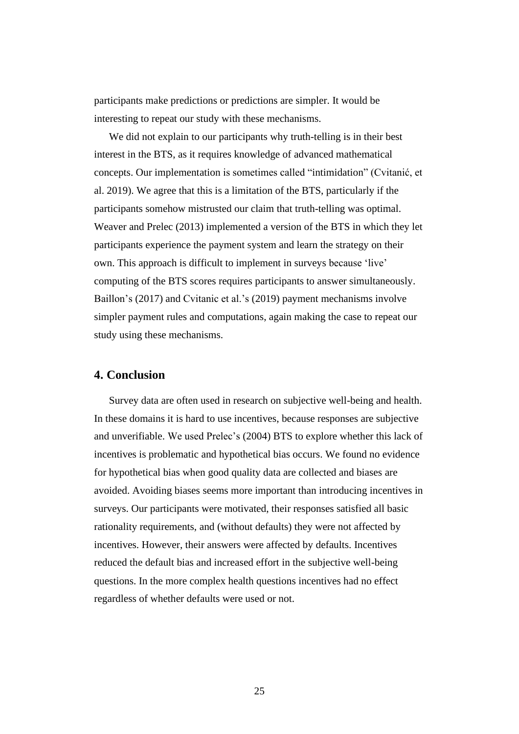participants make predictions or predictions are simpler. It would be interesting to repeat our study with these mechanisms.

We did not explain to our participants why truth-telling is in their best interest in the BTS, as it requires knowledge of advanced mathematical concepts. Our implementation is sometimes called "intimidation" (Cvitanić, et al. 2019). We agree that this is a limitation of the BTS, particularly if the participants somehow mistrusted our claim that truth-telling was optimal. Weaver and Prelec (2013) implemented a version of the BTS in which they let participants experience the payment system and learn the strategy on their own. This approach is difficult to implement in surveys because 'live' computing of the BTS scores requires participants to answer simultaneously. Baillon's (2017) and Cvitanic et al.'s (2019) payment mechanisms involve simpler payment rules and computations, again making the case to repeat our study using these mechanisms.

## **4. Conclusion**

Survey data are often used in research on subjective well-being and health. In these domains it is hard to use incentives, because responses are subjective and unverifiable. We used Prelec's (2004) BTS to explore whether this lack of incentives is problematic and hypothetical bias occurs. We found no evidence for hypothetical bias when good quality data are collected and biases are avoided. Avoiding biases seems more important than introducing incentives in surveys. Our participants were motivated, their responses satisfied all basic rationality requirements, and (without defaults) they were not affected by incentives. However, their answers were affected by defaults. Incentives reduced the default bias and increased effort in the subjective well-being questions. In the more complex health questions incentives had no effect regardless of whether defaults were used or not.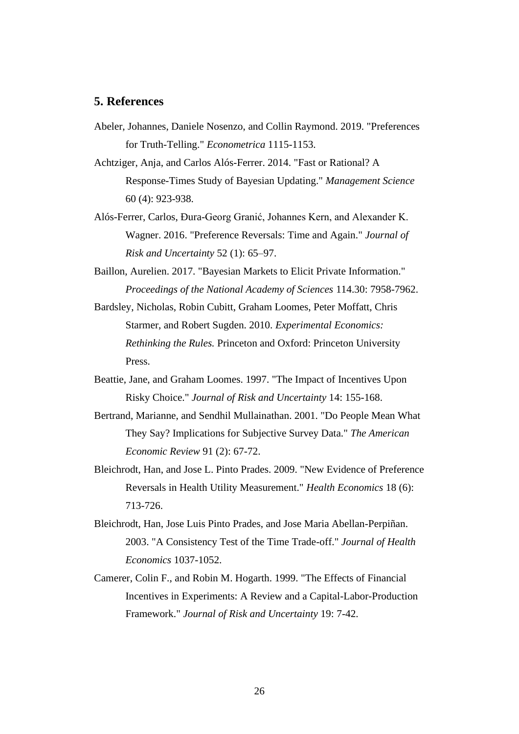# **5. References**

- Abeler, Johannes, Daniele Nosenzo, and Collin Raymond. 2019. "Preferences for Truth-Telling." *Econometrica* 1115-1153.
- Achtziger, Anja, and Carlos Alós-Ferrer. 2014. "Fast or Rational? A Response-Times Study of Bayesian Updating." *Management Science* 60 (4): 923-938.
- Alós-Ferrer, Carlos, Ðura-Georg Granić, Johannes Kern, and Alexander K. Wagner. 2016. "Preference Reversals: Time and Again." *Journal of Risk and Uncertainty* 52 (1): 65–97.
- Baillon, Aurelien. 2017. "Bayesian Markets to Elicit Private Information." *Proceedings of the National Academy of Sciences* 114.30: 7958-7962.
- Bardsley, Nicholas, Robin Cubitt, Graham Loomes, Peter Moffatt, Chris Starmer, and Robert Sugden. 2010. *Experimental Economics: Rethinking the Rules.* Princeton and Oxford: Princeton University Press.
- Beattie, Jane, and Graham Loomes. 1997. "The Impact of Incentives Upon Risky Choice." *Journal of Risk and Uncertainty* 14: 155-168.
- Bertrand, Marianne, and Sendhil Mullainathan. 2001. "Do People Mean What They Say? Implications for Subjective Survey Data." *The American Economic Review* 91 (2): 67-72.
- Bleichrodt, Han, and Jose L. Pinto Prades. 2009. "New Evidence of Preference Reversals in Health Utility Measurement." *Health Economics* 18 (6): 713-726.
- Bleichrodt, Han, Jose Luis Pinto Prades, and Jose Maria Abellan-Perpiñan. 2003. "A Consistency Test of the Time Trade-off." *Journal of Health Economics* 1037-1052.
- Camerer, Colin F., and Robin M. Hogarth. 1999. "The Effects of Financial Incentives in Experiments: A Review and a Capital-Labor-Production Framework." *Journal of Risk and Uncertainty* 19: 7-42.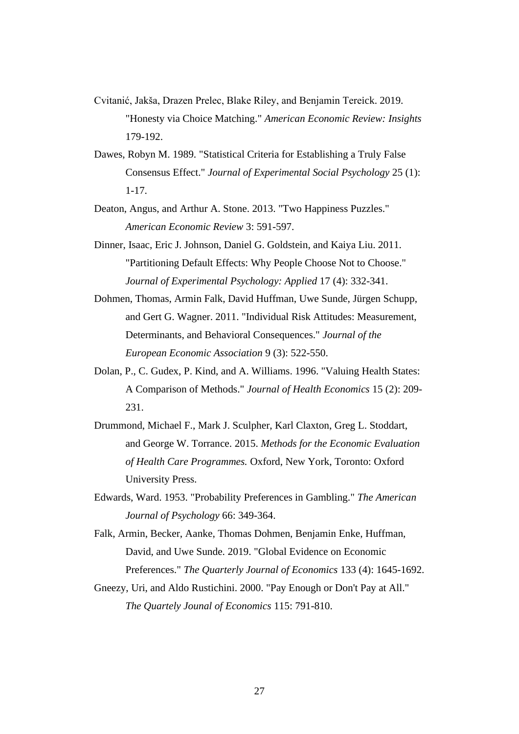- Cvitanić, Jakša, Drazen Prelec, Blake Riley, and Benjamin Tereick. 2019. "Honesty via Choice Matching." *American Economic Review: Insights* 179-192.
- Dawes, Robyn M. 1989. "Statistical Criteria for Establishing a Truly False Consensus Effect." *Journal of Experimental Social Psychology* 25 (1): 1-17.
- Deaton, Angus, and Arthur A. Stone. 2013. "Two Happiness Puzzles." *American Economic Review* 3: 591-597.
- Dinner, Isaac, Eric J. Johnson, Daniel G. Goldstein, and Kaiya Liu. 2011. "Partitioning Default Effects: Why People Choose Not to Choose." *Journal of Experimental Psychology: Applied* 17 (4): 332-341.
- Dohmen, Thomas, Armin Falk, David Huffman, Uwe Sunde, Jürgen Schupp, and Gert G. Wagner. 2011. "Individual Risk Attitudes: Measurement, Determinants, and Behavioral Consequences." *Journal of the European Economic Association* 9 (3): 522-550.
- Dolan, P., C. Gudex, P. Kind, and A. Williams. 1996. "Valuing Health States: A Comparison of Methods." *Journal of Health Economics* 15 (2): 209- 231.
- Drummond, Michael F., Mark J. Sculpher, Karl Claxton, Greg L. Stoddart, and George W. Torrance. 2015. *Methods for the Economic Evaluation of Health Care Programmes.* Oxford, New York, Toronto: Oxford University Press.
- Edwards, Ward. 1953. "Probability Preferences in Gambling." *The American Journal of Psychology* 66: 349-364.
- Falk, Armin, Becker, Aanke, Thomas Dohmen, Benjamin Enke, Huffman, David, and Uwe Sunde. 2019. "Global Evidence on Economic Preferences." *The Quarterly Journal of Economics* 133 (4): 1645-1692.
- Gneezy, Uri, and Aldo Rustichini. 2000. "Pay Enough or Don't Pay at All." *The Quartely Jounal of Economics* 115: 791-810.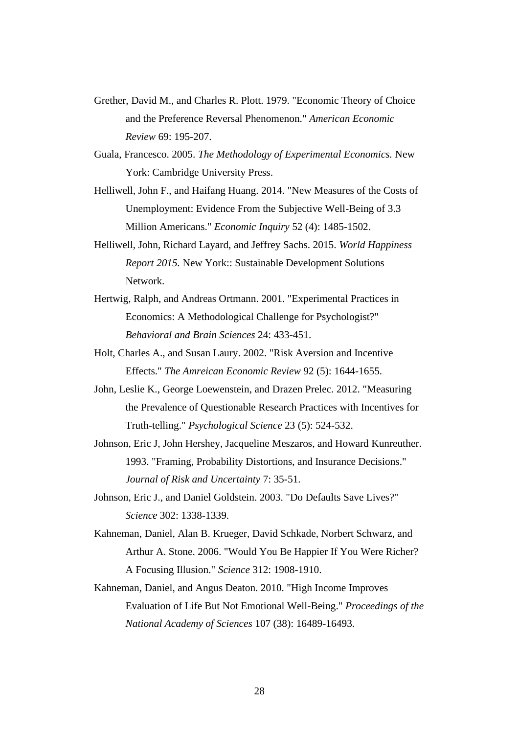- Grether, David M., and Charles R. Plott. 1979. "Economic Theory of Choice and the Preference Reversal Phenomenon." *American Economic Review* 69: 195-207.
- Guala, Francesco. 2005. *The Methodology of Experimental Economics.* New York: Cambridge University Press.
- Helliwell, John F., and Haifang Huang. 2014. "New Measures of the Costs of Unemployment: Evidence From the Subjective Well-Being of 3.3 Million Americans." *Economic Inquiry* 52 (4): 1485-1502.
- Helliwell, John, Richard Layard, and Jeffrey Sachs. 2015. *World Happiness Report 2015.* New York:: Sustainable Development Solutions Network.
- Hertwig, Ralph, and Andreas Ortmann. 2001. "Experimental Practices in Economics: A Methodological Challenge for Psychologist?" *Behavioral and Brain Sciences* 24: 433-451.
- Holt, Charles A., and Susan Laury. 2002. "Risk Aversion and Incentive Effects." *The Amreican Economic Review* 92 (5): 1644-1655.
- John, Leslie K., George Loewenstein, and Drazen Prelec. 2012. "Measuring the Prevalence of Questionable Research Practices with Incentives for Truth-telling." *Psychological Science* 23 (5): 524-532.
- Johnson, Eric J, John Hershey, Jacqueline Meszaros, and Howard Kunreuther. 1993. "Framing, Probability Distortions, and Insurance Decisions." *Journal of Risk and Uncertainty* 7: 35-51.
- Johnson, Eric J., and Daniel Goldstein. 2003. "Do Defaults Save Lives?" *Science* 302: 1338-1339.
- Kahneman, Daniel, Alan B. Krueger, David Schkade, Norbert Schwarz, and Arthur A. Stone. 2006. "Would You Be Happier If You Were Richer? A Focusing Illusion." *Science* 312: 1908-1910.
- Kahneman, Daniel, and Angus Deaton. 2010. "High Income Improves Evaluation of Life But Not Emotional Well-Being." *Proceedings of the National Academy of Sciences* 107 (38): 16489-16493.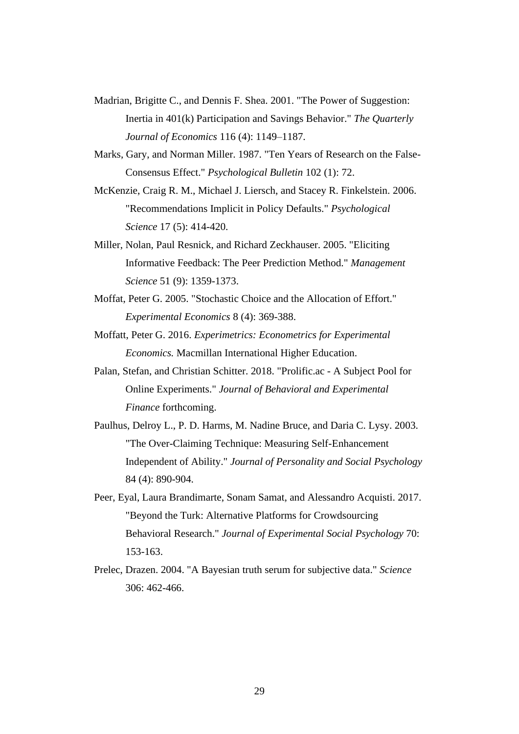- Madrian, Brigitte C., and Dennis F. Shea. 2001. "The Power of Suggestion: Inertia in 401(k) Participation and Savings Behavior." *The Quarterly Journal of Economics* 116 (4): 1149–1187.
- Marks, Gary, and Norman Miller. 1987. "Ten Years of Research on the False-Consensus Effect." *Psychological Bulletin* 102 (1): 72.
- McKenzie, Craig R. M., Michael J. Liersch, and Stacey R. Finkelstein. 2006. "Recommendations Implicit in Policy Defaults." *Psychological Science* 17 (5): 414-420.
- Miller, Nolan, Paul Resnick, and Richard Zeckhauser. 2005. "Eliciting Informative Feedback: The Peer Prediction Method." *Management Science* 51 (9): 1359-1373.
- Moffat, Peter G. 2005. "Stochastic Choice and the Allocation of Effort." *Experimental Economics* 8 (4): 369-388.
- Moffatt, Peter G. 2016. *Experimetrics: Econometrics for Experimental Economics.* Macmillan International Higher Education.
- Palan, Stefan, and Christian Schitter. 2018. "Prolific.ac A Subject Pool for Online Experiments." *Journal of Behavioral and Experimental Finance* forthcoming.
- Paulhus, Delroy L., P. D. Harms, M. Nadine Bruce, and Daria C. Lysy. 2003. "The Over-Claiming Technique: Measuring Self-Enhancement Independent of Ability." *Journal of Personality and Social Psychology* 84 (4): 890-904.
- Peer, Eyal, Laura Brandimarte, Sonam Samat, and Alessandro Acquisti. 2017. "Beyond the Turk: Alternative Platforms for Crowdsourcing Behavioral Research." *Journal of Experimental Social Psychology* 70: 153-163.
- Prelec, Drazen. 2004. "A Bayesian truth serum for subjective data." *Science* 306: 462-466.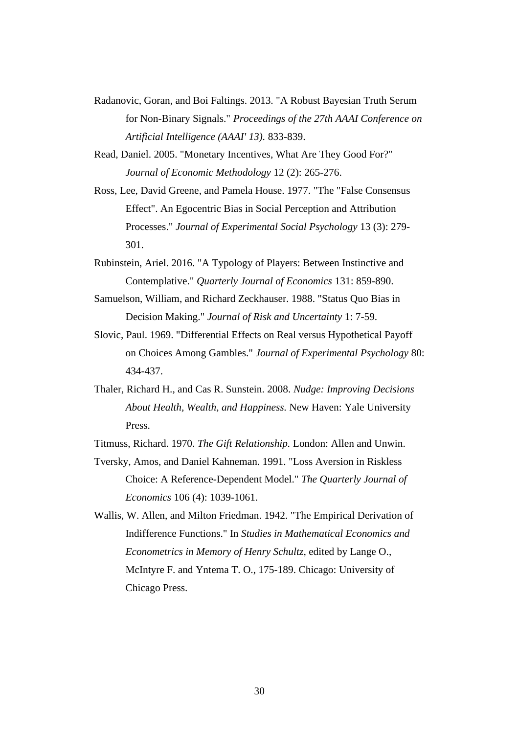- Radanovic, Goran, and Boi Faltings. 2013. "A Robust Bayesian Truth Serum for Non-Binary Signals." *Proceedings of the 27th AAAI Conference on Artificial Intelligence (AAAI' 13).* 833-839.
- Read, Daniel. 2005. "Monetary Incentives, What Are They Good For?" *Journal of Economic Methodology* 12 (2): 265-276.
- Ross, Lee, David Greene, and Pamela House. 1977. "The "False Consensus Effect". An Egocentric Bias in Social Perception and Attribution Processes." *Journal of Experimental Social Psychology* 13 (3): 279- 301.
- Rubinstein, Ariel. 2016. "A Typology of Players: Between Instinctive and Contemplative." *Quarterly Journal of Economics* 131: 859-890.
- Samuelson, William, and Richard Zeckhauser. 1988. "Status Quo Bias in Decision Making." *Journal of Risk and Uncertainty* 1: 7-59.
- Slovic, Paul. 1969. "Differential Effects on Real versus Hypothetical Payoff on Choices Among Gambles." *Journal of Experimental Psychology* 80: 434-437.
- Thaler, Richard H., and Cas R. Sunstein. 2008. *Nudge: Improving Decisions About Health, Wealth, and Happiness.* New Haven: Yale University Press.
- Titmuss, Richard. 1970. *The Gift Relationship.* London: Allen and Unwin.
- Tversky, Amos, and Daniel Kahneman. 1991. "Loss Aversion in Riskless Choice: A Reference-Dependent Model." *The Quarterly Journal of Economics* 106 (4): 1039-1061.
- Wallis, W. Allen, and Milton Friedman. 1942. "The Empirical Derivation of Indifference Functions." In *Studies in Mathematical Economics and Econometrics in Memory of Henry Schultz*, edited by Lange O., McIntyre F. and Yntema T. O., 175-189. Chicago: University of Chicago Press.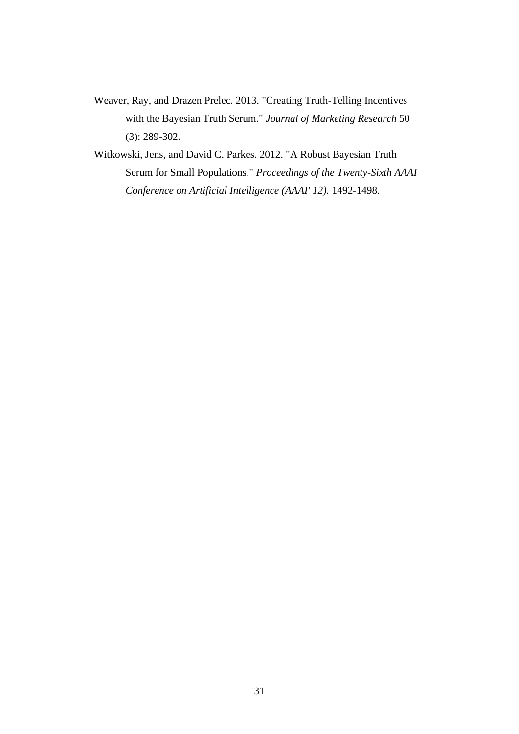- Weaver, Ray, and Drazen Prelec. 2013. "Creating Truth-Telling Incentives with the Bayesian Truth Serum." *Journal of Marketing Research* 50 (3): 289-302.
- Witkowski, Jens, and David C. Parkes. 2012. "A Robust Bayesian Truth Serum for Small Populations." *Proceedings of the Twenty-Sixth AAAI Conference on Artificial Intelligence (AAAI' 12).* 1492-1498.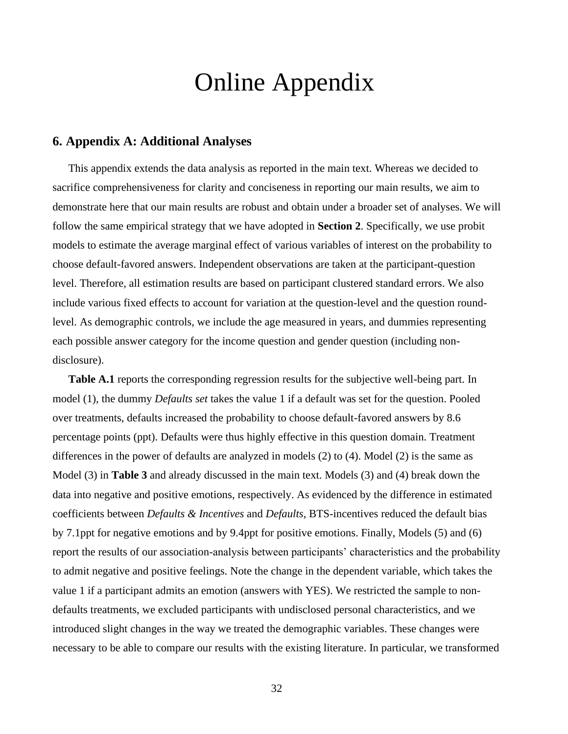# Online Appendix

# **6. Appendix A: Additional Analyses**

This appendix extends the data analysis as reported in the main text. Whereas we decided to sacrifice comprehensiveness for clarity and conciseness in reporting our main results, we aim to demonstrate here that our main results are robust and obtain under a broader set of analyses. We will follow the same empirical strategy that we have adopted in **Section [2](#page-11-0)**. Specifically, we use probit models to estimate the average marginal effect of various variables of interest on the probability to choose default-favored answers. Independent observations are taken at the participant-question level. Therefore, all estimation results are based on participant clustered standard errors. We also include various fixed effects to account for variation at the question-level and the question roundlevel. As demographic controls, we include the age measured in years, and dummies representing each possible answer category for the income question and gender question (including nondisclosure).

[Table A.1](#page-34-1) reports the corresponding regression results for the subjective well-being part. In model (1), the dummy *Defaults set* takes the value 1 if a default was set for the question. Pooled over treatments, defaults increased the probability to choose default-favored answers by 8.6 percentage points (ppt). Defaults were thus highly effective in this question domain. Treatment differences in the power of defaults are analyzed in models (2) to (4). Model (2) is the same as Model (3) in **[Table 3](#page-18-1)** and already discussed in the main text. Models (3) and (4) break down the data into negative and positive emotions, respectively. As evidenced by the difference in estimated coefficients between *Defaults & Incentives* and *Defaults*, BTS-incentives reduced the default bias by 7.1ppt for negative emotions and by 9.4ppt for positive emotions. Finally, Models (5) and (6) report the results of our association-analysis between participants' characteristics and the probability to admit negative and positive feelings. Note the change in the dependent variable, which takes the value 1 if a participant admits an emotion (answers with YES). We restricted the sample to nondefaults treatments, we excluded participants with undisclosed personal characteristics, and we introduced slight changes in the way we treated the demographic variables. These changes were necessary to be able to compare our results with the existing literature. In particular, we transformed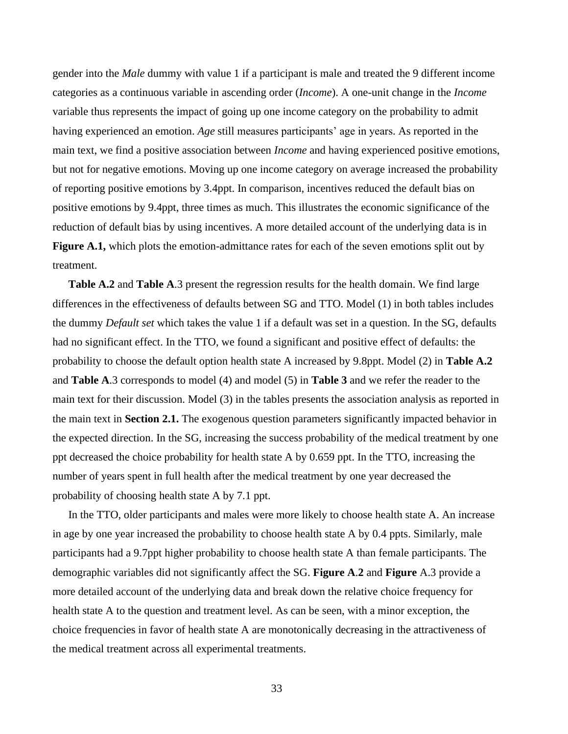gender into the *Male* dummy with value 1 if a participant is male and treated the 9 different income categories as a continuous variable in ascending order (*Income*). A one-unit change in the *Income*  variable thus represents the impact of going up one income category on the probability to admit having experienced an emotion. *Age* still measures participants' age in years. As reported in the main text, we find a positive association between *Income* and having experienced positive emotions, but not for negative emotions. Moving up one income category on average increased the probability of reporting positive emotions by 3.4ppt. In comparison, incentives reduced the default bias on positive emotions by 9.4ppt, three times as much. This illustrates the economic significance of the reduction of default bias by using incentives. A more detailed account of the underlying data is in **[Figure A.1,](#page-41-1)** which plots the emotion-admittance rates for each of the seven emotions split out by treatment.

**[Table A.2](#page-35-1)** and **[Table](#page-36-1) A**.3 present the regression results for the health domain. We find large differences in the effectiveness of defaults between SG and TTO. Model (1) in both tables includes the dummy *Default set* which takes the value 1 if a default was set in a question. In the SG, defaults had no significant effect. In the TTO, we found a significant and positive effect of defaults: the probability to choose the default option health state A increased by 9.8ppt. Model (2) in **[Table A.2](#page-35-1)** and **[Table](#page-36-1) A**.3 corresponds to model (4) and model (5) in **[Table 3](#page-18-1)** and we refer the reader to the main text for their discussion. Model (3) in the tables presents the association analysis as reported in the main text in **Section [2.1.](#page-11-1)** The exogenous question parameters significantly impacted behavior in the expected direction. In the SG, increasing the success probability of the medical treatment by one ppt decreased the choice probability for health state A by 0.659 ppt. In the TTO, increasing the number of years spent in full health after the medical treatment by one year decreased the probability of choosing health state A by 7.1 ppt.

In the TTO, older participants and males were more likely to choose health state A. An increase in age by one year increased the probability to choose health state A by 0.4 ppts. Similarly, male participants had a 9.7ppt higher probability to choose health state A than female participants. The demographic variables did not significantly affect the SG. **[Figure A](#page-41-2)**.**2** and **[Figure](#page-42-0)** A.3 provide a more detailed account of the underlying data and break down the relative choice frequency for health state A to the question and treatment level. As can be seen, with a minor exception, the choice frequencies in favor of health state A are monotonically decreasing in the attractiveness of the medical treatment across all experimental treatments.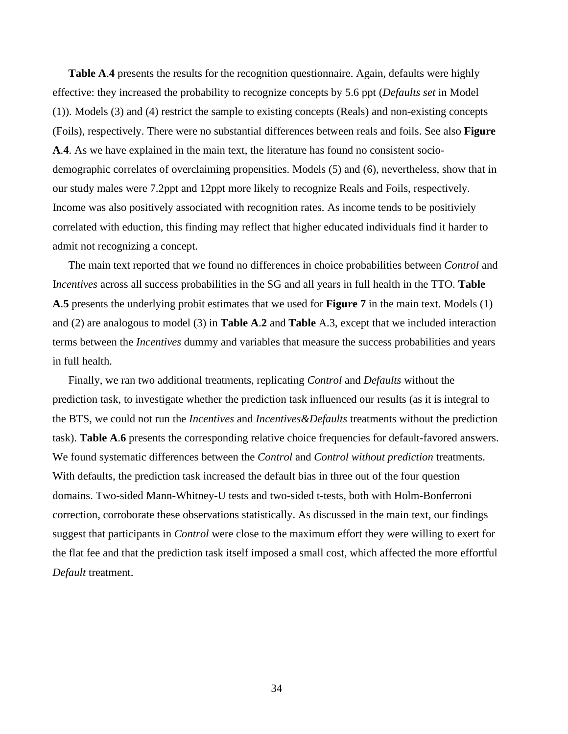**[Table A](#page-37-1)**.**4** presents the results for the recognition questionnaire. Again, defaults were highly effective: they increased the probability to recognize concepts by 5.6 ppt (*Defaults set* in Model (1)). Models (3) and (4) restrict the sample to existing concepts (Reals) and non-existing concepts (Foils), respectively. There were no substantial differences between reals and foils. See also **[Figure](#page-43-1)  [A](#page-43-1)**.**4**. As we have explained in the main text, the literature has found no consistent sociodemographic correlates of overclaiming propensities. Models (5) and (6), nevertheless, show that in our study males were 7.2ppt and 12ppt more likely to recognize Reals and Foils, respectively. Income was also positively associated with recognition rates. As income tends to be positiviely correlated with eduction, this finding may reflect that higher educated individuals find it harder to admit not recognizing a concept.

The main text reported that we found no differences in choice probabilities between *Control* and I*ncentives* across all success probabilities in the SG and all years in full health in the TTO. **[Table](#page-38-1)  [A](#page-38-1)**.**5** presents the underlying probit estimates that we used for **[Figure 7](#page-15-1)** in the main text. Models (1) and (2) are analogous to model (3) in **[Table A](#page-35-1)**.**2** and **[Table](#page-36-1)** A.3, except that we included interaction terms between the *Incentives* dummy and variables that measure the success probabilities and years in full health.

Finally, we ran two additional treatments, replicating *Control* and *Defaults* without the prediction task, to investigate whether the prediction task influenced our results (as it is integral to the BTS, we could not run the *Incentives* and *Incentives&Defaults* treatments without the prediction task). **[Table A](#page-39-1)**.**6** presents the corresponding relative choice frequencies for default-favored answers. We found systematic differences between the *Control* and *Control without prediction* treatments. With defaults, the prediction task increased the default bias in three out of the four question domains. Two-sided Mann-Whitney-U tests and two-sided t-tests, both with Holm-Bonferroni correction, corroborate these observations statistically. As discussed in the main text, our findings suggest that participants in *Control* were close to the maximum effort they were willing to exert for the flat fee and that the prediction task itself imposed a small cost, which affected the more effortful *Default* treatment.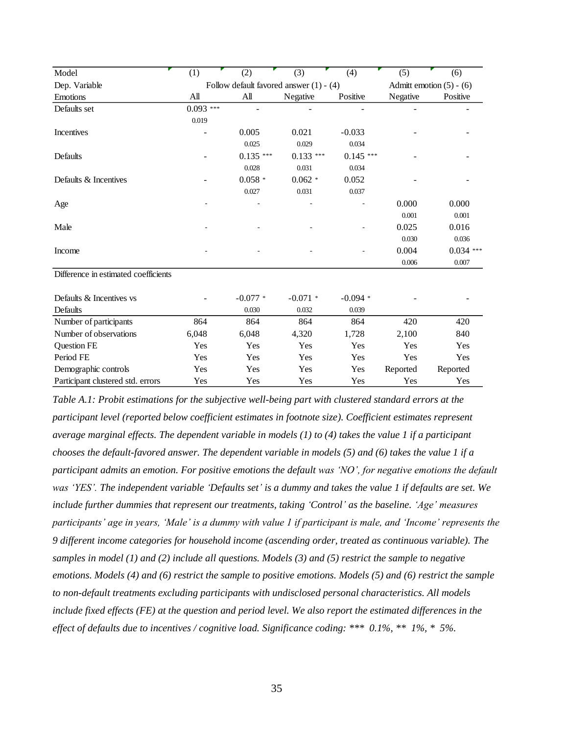| Model                                | (1)             | (2)        | (3)                                       | (4)        | (5)      | (6)                        |
|--------------------------------------|-----------------|------------|-------------------------------------------|------------|----------|----------------------------|
| Dep. Variable                        |                 |            | Follow default favored answer $(1) - (4)$ |            |          | Admitt emotion $(5) - (6)$ |
| Emotions                             | $\mathbf{A}$ ll | All        | Negative                                  | Positive   | Negative | Positive                   |
| Defaults set                         | $0.093***$      |            |                                           |            |          |                            |
|                                      | 0.019           |            |                                           |            |          |                            |
| Incentives                           |                 | 0.005      | 0.021                                     | $-0.033$   |          |                            |
|                                      |                 | 0.025      | 0.029                                     | 0.034      |          |                            |
| Defaults                             |                 | $0.135***$ | $0.133***$                                | $0.145***$ |          |                            |
|                                      |                 | 0.028      | 0.031                                     | 0.034      |          |                            |
| Defaults & Incentives                |                 | $0.058*$   | $0.062*$                                  | 0.052      |          |                            |
|                                      |                 | 0.027      | 0.031                                     | 0.037      |          |                            |
| Age                                  |                 |            |                                           |            | 0.000    | 0.000                      |
|                                      |                 |            |                                           |            | 0.001    | 0.001                      |
| Male                                 |                 |            |                                           |            | 0.025    | 0.016                      |
|                                      |                 |            |                                           |            | 0.030    | 0.036                      |
| Income                               |                 |            |                                           |            | 0.004    | $0.034$ ***                |
|                                      |                 |            |                                           |            | 0.006    | 0.007                      |
| Difference in estimated coefficients |                 |            |                                           |            |          |                            |
| Defaults & Incentives vs             |                 | $-0.077$ * | $-0.071$ *                                | $-0.094*$  |          |                            |
| Defaults                             |                 | 0.030      | 0.032                                     | 0.039      |          |                            |
| Number of participants               | 864             | 864        | 864                                       | 864        | 420      | 420                        |
| Number of observations               | 6,048           | 6,048      | 4,320                                     | 1,728      | 2,100    | 840                        |
| <b>Question FE</b>                   | Yes             | Yes        | Yes                                       | Yes        | Yes      | Yes                        |
| Period FE                            | Yes             | Yes        | Yes                                       | Yes        | Yes      | Yes                        |
| Demographic controls                 | Yes             | Yes        | Yes                                       | Yes        | Reported | Reported                   |
| Participant clustered std. errors    | Yes             | Yes        | Yes                                       | Yes        | Yes      | Yes                        |

<span id="page-34-1"></span><span id="page-34-0"></span>*Table A.1: Probit estimations for the subjective well-being part with clustered standard errors at the participant level (reported below coefficient estimates in footnote size). Coefficient estimates represent average marginal effects. The dependent variable in models (1) to (4) takes the value 1 if a participant chooses the default-favored answer. The dependent variable in models (5) and (6) takes the value 1 if a participant admits an emotion. For positive emotions the default was 'NO', for negative emotions the default was 'YES'. The independent variable 'Defaults set' is a dummy and takes the value 1 if defaults are set. We include further dummies that represent our treatments, taking 'Control' as the baseline. 'Age' measures participants' age in years, 'Male' is a dummy with value 1 if participant is male, and 'Income' represents the 9 different income categories for household income (ascending order, treated as continuous variable). The samples in model (1) and (2) include all questions. Models (3) and (5) restrict the sample to negative emotions. Models (4) and (6) restrict the sample to positive emotions. Models (5) and (6) restrict the sample to non-default treatments excluding participants with undisclosed personal characteristics. All models include fixed effects (FE) at the question and period level. We also report the estimated differences in the effect of defaults due to incentives / cognitive load. Significance coding: \*\*\* 0.1%, \*\* 1%, \* 5%.*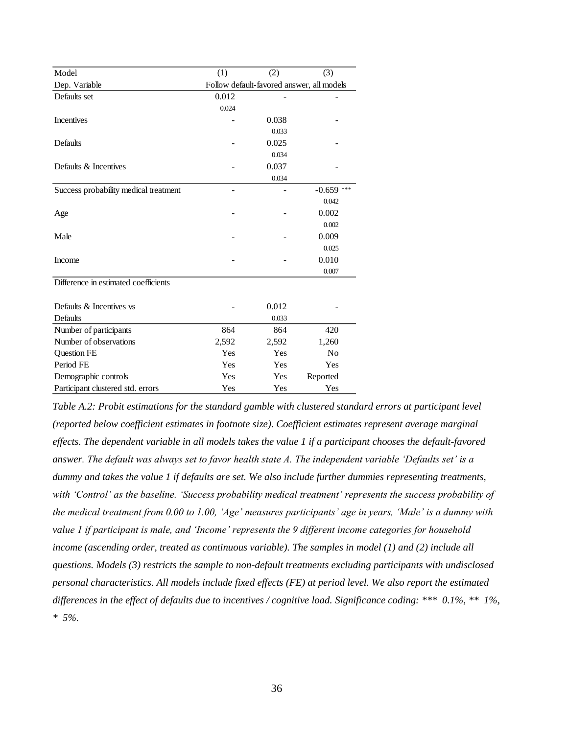| Model                                 | (1)   | (2)   | (3)                                       |
|---------------------------------------|-------|-------|-------------------------------------------|
| Dep. Variable                         |       |       | Follow default-favored answer, all models |
| Defaults set                          | 0.012 |       |                                           |
|                                       | 0.024 |       |                                           |
| Incentives                            |       | 0.038 |                                           |
|                                       |       | 0.033 |                                           |
| Defaults                              |       | 0.025 |                                           |
|                                       |       | 0.034 |                                           |
| Defaults & Incentives                 |       | 0.037 |                                           |
|                                       |       | 0.034 |                                           |
| Success probability medical treatment |       |       | $-0.659$ ***                              |
|                                       |       |       | 0.042                                     |
| Age                                   |       |       | 0.002                                     |
|                                       |       |       | 0.002                                     |
| Male                                  |       |       | 0.009                                     |
|                                       |       |       | 0.025                                     |
| Income                                |       |       | 0.010                                     |
|                                       |       |       | 0.007                                     |
| Difference in estimated coefficients  |       |       |                                           |
|                                       |       |       |                                           |
| Defaults & Incentives vs              |       | 0.012 |                                           |
| Defaults                              |       | 0.033 |                                           |
| Number of participants                | 864   | 864   | 420                                       |
| Number of observations                | 2,592 | 2,592 | 1,260                                     |
| Question FE                           | Yes   | Yes   | N <sub>0</sub>                            |
| Period FE                             | Yes   | Yes   | Yes                                       |
| Demographic controls                  | Yes   | Yes   | Reported                                  |
| Participant clustered std. errors     | Yes   | Yes   | Yes                                       |

<span id="page-35-1"></span><span id="page-35-0"></span>*Table A.2: Probit estimations for the standard gamble with clustered standard errors at participant level (reported below coefficient estimates in footnote size). Coefficient estimates represent average marginal effects. The dependent variable in all models takes the value 1 if a participant chooses the default-favored answer. The default was always set to favor health state A. The independent variable 'Defaults set' is a dummy and takes the value 1 if defaults are set. We also include further dummies representing treatments, with 'Control' as the baseline. 'Success probability medical treatment' represents the success probability of the medical treatment from 0.00 to 1.00, 'Age' measures participants' age in years, 'Male' is a dummy with value 1 if participant is male, and 'Income' represents the 9 different income categories for household income (ascending order, treated as continuous variable). The samples in model (1) and (2) include all questions. Models (3) restricts the sample to non-default treatments excluding participants with undisclosed personal characteristics. All models include fixed effects (FE) at period level. We also report the estimated differences in the effect of defaults due to incentives / cognitive load. Significance coding: \*\*\* 0.1%, \*\* 1%, \* 5%.*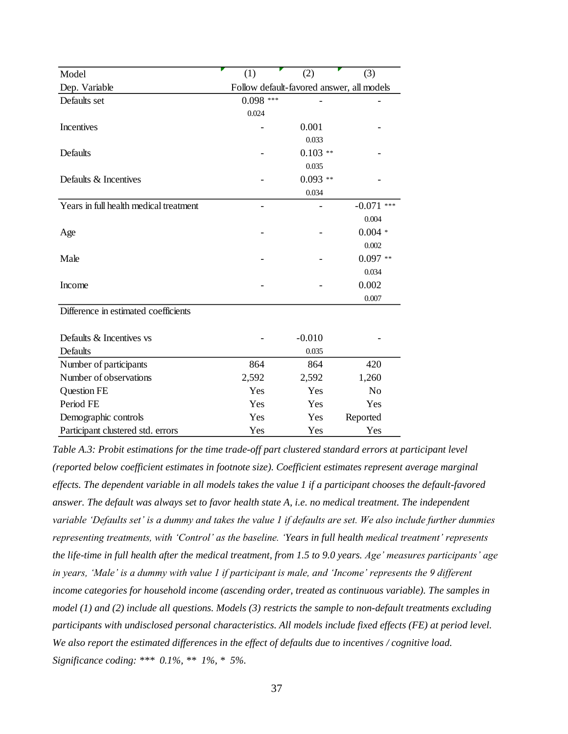| Model                                  | (1)                                       | (2)       | (3)          |  |  |  |
|----------------------------------------|-------------------------------------------|-----------|--------------|--|--|--|
| Dep. Variable                          | Follow default-favored answer, all models |           |              |  |  |  |
| Defaults set                           | $0.098***$                                |           |              |  |  |  |
|                                        | 0.024                                     |           |              |  |  |  |
| <b>Incentives</b>                      |                                           | 0.001     |              |  |  |  |
|                                        |                                           | 0.033     |              |  |  |  |
| Defaults                               |                                           | $0.103**$ |              |  |  |  |
|                                        |                                           | 0.035     |              |  |  |  |
| Defaults & Incentives                  |                                           | $0.093**$ |              |  |  |  |
|                                        |                                           | 0.034     |              |  |  |  |
| Years in full health medical treatment |                                           |           | $-0.071$ *** |  |  |  |
|                                        |                                           |           | 0.004        |  |  |  |
| Age                                    |                                           |           | $0.004*$     |  |  |  |
|                                        |                                           |           | 0.002        |  |  |  |
| Male                                   |                                           |           | $0.097**$    |  |  |  |
|                                        |                                           |           | 0.034        |  |  |  |
| Income                                 |                                           |           | 0.002        |  |  |  |
|                                        |                                           |           | 0.007        |  |  |  |
| Difference in estimated coefficients   |                                           |           |              |  |  |  |
|                                        |                                           |           |              |  |  |  |
| Defaults & Incentives vs               |                                           | $-0.010$  |              |  |  |  |
| Defaults                               |                                           | 0.035     |              |  |  |  |
| Number of participants                 | 864                                       | 864       | 420          |  |  |  |
| Number of observations                 | 2,592                                     | 2,592     | 1,260        |  |  |  |
| <b>Question FE</b>                     | Yes                                       | Yes       | No           |  |  |  |
| Period FE                              | Yes                                       | Yes       | Yes          |  |  |  |
| Demographic controls                   | Yes                                       | Yes       | Reported     |  |  |  |
| Participant clustered std. errors      | Yes                                       | Yes       | Yes          |  |  |  |

<span id="page-36-1"></span><span id="page-36-0"></span>*Table A.3: Probit estimations for the time trade-off part clustered standard errors at participant level (reported below coefficient estimates in footnote size). Coefficient estimates represent average marginal effects. The dependent variable in all models takes the value 1 if a participant chooses the default-favored answer. The default was always set to favor health state A, i.e. no medical treatment. The independent variable 'Defaults set' is a dummy and takes the value 1 if defaults are set. We also include further dummies representing treatments, with 'Control' as the baseline. 'Years in full health medical treatment' represents the life-time in full health after the medical treatment, from 1.5 to 9.0 years. Age' measures participants' age in years, 'Male' is a dummy with value 1 if participant is male, and 'Income' represents the 9 different income categories for household income (ascending order, treated as continuous variable). The samples in model (1) and (2) include all questions. Models (3) restricts the sample to non-default treatments excluding participants with undisclosed personal characteristics. All models include fixed effects (FE) at period level. We also report the estimated differences in the effect of defaults due to incentives / cognitive load. Significance coding: \*\*\* 0.1%, \*\* 1%, \* 5%.*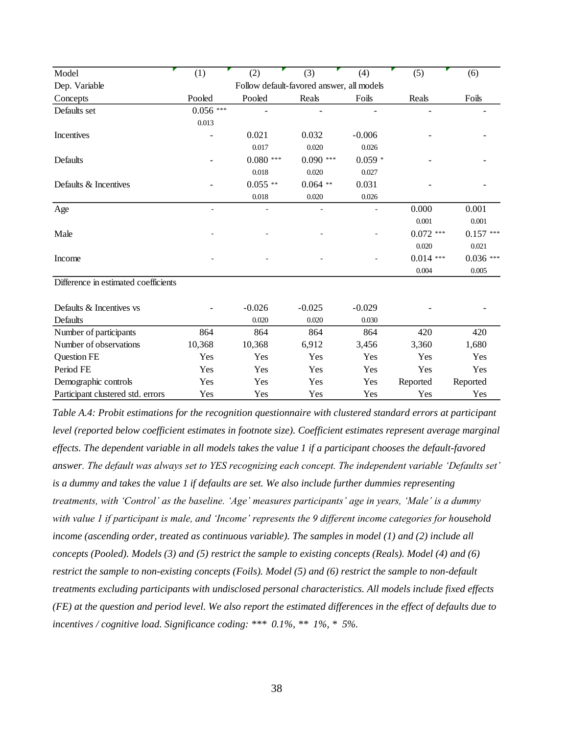| Model                                | (1)        | (2)                                       | (3)         | (4)      | (5)         | (6)         |
|--------------------------------------|------------|-------------------------------------------|-------------|----------|-------------|-------------|
| Dep. Variable                        |            | Follow default-favored answer, all models |             |          |             |             |
| Concepts                             | Pooled     | Pooled                                    | Reals       | Foils    | Reals       | Foils       |
| Defaults set                         | $0.056***$ |                                           |             |          |             |             |
|                                      | 0.013      |                                           |             |          |             |             |
| Incentives                           |            | 0.021                                     | 0.032       | $-0.006$ |             |             |
|                                      |            | 0.017                                     | 0.020       | 0.026    |             |             |
| Defaults                             |            | $0.080***$                                | $0.090$ *** | $0.059*$ |             |             |
|                                      |            | 0.018                                     | 0.020       | 0.027    |             |             |
| Defaults & Incentives                |            | $0.055$ **                                | $0.064$ **  | 0.031    |             |             |
|                                      |            | 0.018                                     | 0.020       | 0.026    |             |             |
| $\rm Age$                            |            |                                           |             |          | 0.000       | 0.001       |
|                                      |            |                                           |             |          | 0.001       | 0.001       |
| Male                                 |            |                                           |             |          | $0.072$ *** | $0.157$ *** |
|                                      |            |                                           |             |          | 0.020       | 0.021       |
| Income                               |            |                                           |             |          | $0.014$ *** | $0.036***$  |
|                                      |            |                                           |             |          | 0.004       | 0.005       |
| Difference in estimated coefficients |            |                                           |             |          |             |             |
| Defaults & Incentives vs             |            | $-0.026$                                  | $-0.025$    | $-0.029$ |             |             |
| Defaults                             |            | 0.020                                     | 0.020       | 0.030    |             |             |
| Number of participants               | 864        | 864                                       | 864         | 864      | 420         | 420         |
| Number of observations               | 10,368     | 10,368                                    | 6,912       | 3,456    | 3,360       | 1,680       |
| <b>Question FE</b>                   | Yes        | Yes                                       | Yes         | Yes      | Yes         | Yes         |
| Period FE                            | Yes        | Yes                                       | Yes         | Yes      | Yes         | Yes         |
| Demographic controls                 | Yes        | Yes                                       | Yes         | Yes      | Reported    | Reported    |
| Participant clustered std. errors    | Yes        | Yes                                       | Yes         | Yes      | Yes         | Yes         |

<span id="page-37-1"></span><span id="page-37-0"></span>*Table A.4: Probit estimations for the recognition questionnaire with clustered standard errors at participant level (reported below coefficient estimates in footnote size). Coefficient estimates represent average marginal effects. The dependent variable in all models takes the value 1 if a participant chooses the default-favored answer. The default was always set to YES recognizing each concept. The independent variable 'Defaults set' is a dummy and takes the value 1 if defaults are set. We also include further dummies representing treatments, with 'Control' as the baseline. 'Age' measures participants' age in years, 'Male' is a dummy with value 1 if participant is male, and 'Income' represents the 9 different income categories for household income (ascending order, treated as continuous variable). The samples in model (1) and (2) include all concepts (Pooled). Models (3) and (5) restrict the sample to existing concepts (Reals). Model (4) and (6) restrict the sample to non-existing concepts (Foils). Model (5) and (6) restrict the sample to non-default treatments excluding participants with undisclosed personal characteristics. All models include fixed effects (FE) at the question and period level. We also report the estimated differences in the effect of defaults due to incentives / cognitive load. Significance coding: \*\*\* 0.1%, \*\* 1%, \* 5%.*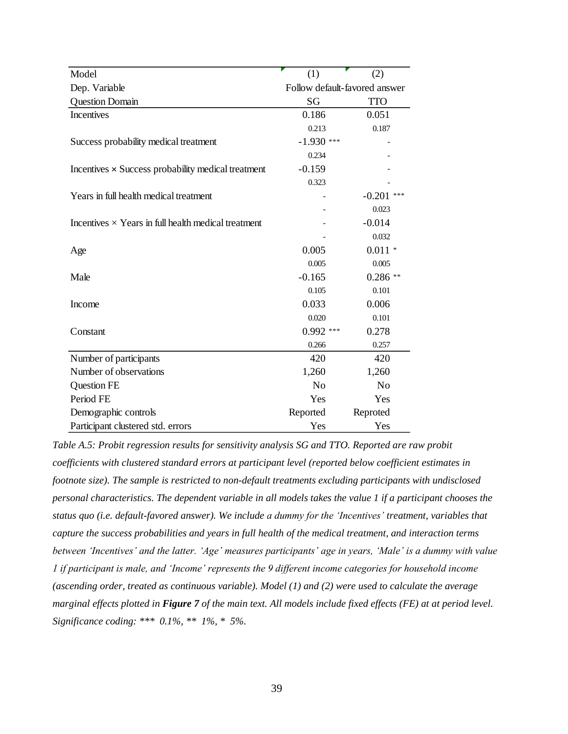| Model                                                      | (1)                           | (2)            |
|------------------------------------------------------------|-------------------------------|----------------|
| Dep. Variable                                              | Follow default-favored answer |                |
| <b>Question Domain</b>                                     | SG                            | <b>TTO</b>     |
| Incentives                                                 | 0.186                         | 0.051          |
|                                                            | 0.213                         | 0.187          |
| Success probability medical treatment                      | $-1.930$ ***                  |                |
|                                                            | 0.234                         |                |
| Incentives × Success probability medical treatment         | $-0.159$                      |                |
|                                                            | 0.323                         |                |
| Years in full health medical treatment                     |                               | $-0.201$       |
|                                                            |                               | 0.023          |
| Incentives $\times$ Years in full health medical treatment |                               | $-0.014$       |
|                                                            |                               | 0.032          |
| Age                                                        | 0.005                         | $0.011*$       |
|                                                            | 0.005                         | 0.005          |
| Male                                                       | $-0.165$                      | $0.286**$      |
|                                                            | 0.105                         | 0.101          |
| Income                                                     | 0.033                         | 0.006          |
|                                                            | 0.020                         | 0.101          |
| Constant                                                   | $0.992$ ***                   | 0.278          |
|                                                            | 0.266                         | 0.257          |
| Number of participants                                     | 420                           | 420            |
| Number of observations                                     | 1,260                         | 1,260          |
| <b>Question FE</b>                                         | N <sub>o</sub>                | N <sub>o</sub> |
| Period FE                                                  | Yes                           | Yes            |
| Demographic controls                                       | Reported                      | Reproted       |
| Participant clustered std. errors                          | Yes                           | Yes            |

<span id="page-38-1"></span><span id="page-38-0"></span>*Table A.5: Probit regression results for sensitivity analysis SG and TTO. Reported are raw probit coefficients with clustered standard errors at participant level (reported below coefficient estimates in footnote size). The sample is restricted to non-default treatments excluding participants with undisclosed personal characteristics. The dependent variable in all models takes the value 1 if a participant chooses the status quo (i.e. default-favored answer). We include a dummy for the 'Incentives' treatment, variables that capture the success probabilities and years in full health of the medical treatment, and interaction terms between 'Incentives' and the latter. 'Age' measures participants' age in years, 'Male' is a dummy with value 1 if participant is male, and 'Income' represents the 9 different income categories for household income (ascending order, treated as continuous variable). Model (1) and (2) were used to calculate the average marginal effects plotted in [Figure 7](#page-15-1) of the main text. All models include fixed effects (FE) at at period level. Significance coding: \*\*\* 0.1%, \*\* 1%, \* 5%.*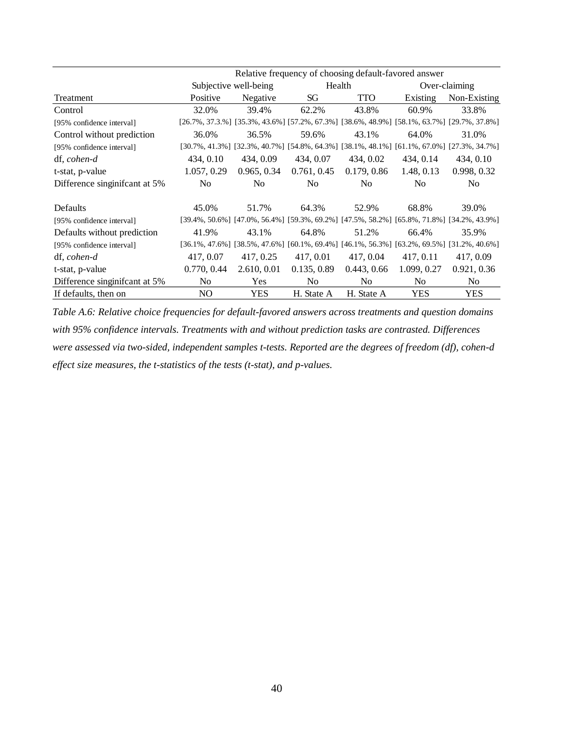|                                | Relative frequency of choosing default-favored answer |                       |             |                |             |                                                                                                                   |
|--------------------------------|-------------------------------------------------------|-----------------------|-------------|----------------|-------------|-------------------------------------------------------------------------------------------------------------------|
|                                |                                                       | Subjective well-being | Health      |                |             | Over-claiming                                                                                                     |
| Treatment                      | Positive                                              | Negative              | SG          | TTO            | Existing    | Non-Existing                                                                                                      |
| Control                        | 32.0%                                                 | 39.4%                 | 62.2%       | 43.8%          | 60.9%       | 33.8%                                                                                                             |
| [95% confidence interval]      |                                                       |                       |             |                |             | [26.7%, 37.3.%] [35.3%, 43.6%] [57.2%, 67.3%] [38.6%, 48.9%] [58.1%, 63.7%] [29.7%, 37.8%]                        |
| Control without prediction     | 36.0%                                                 | 36.5%                 | 59.6%       | 43.1%          | 64.0%       | 31.0%                                                                                                             |
| [95% confidence interval]      |                                                       |                       |             |                |             | [30.7%, 41.3%] [32.3%, 40.7%] [54.8%, 64.3%] [38.1%, 48.1%] [61.1%, 67.0%] [27.3%, 34.7%]                         |
| df, cohen-d                    | 434, 0.10                                             | 434, 0.09             | 434, 0.07   | 434, 0.02      | 434, 0.14   | 434, 0.10                                                                                                         |
| t-stat, p-value                | 1.057, 0.29                                           | 0.965, 0.34           | 0.761, 0.45 | 0.179, 0.86    | 1.48, 0.13  | 0.998, 0.32                                                                                                       |
| Difference singinifcant at 5%  | No.                                                   | No.                   | No.         | N <sub>o</sub> | No.         | N <sub>0</sub>                                                                                                    |
| Defaults                       | 45.0%                                                 | 51.7%                 | 64.3%       | 52.9%          | 68.8%       | 39.0%                                                                                                             |
| [95% confidence interval]      |                                                       |                       |             |                |             | [39.4%, 50.6%] [47.0%, 56.4%] [59.3%, 69.2%] [47.5%, 58.2%] [65.8%, 71.8%] [34.2%, 43.9%]                         |
| Defaults without prediction    | 41.9%                                                 | 43.1%                 | 64.8%       | 51.2%          | 66.4%       | 35.9%                                                                                                             |
| [95% confidence interval]      |                                                       |                       |             |                |             | $[36.1\%, 47.6\%]$ $[38.5\%, 47.6\%]$ $[60.1\%, 69.4\%]$ $[46.1\%, 56.3\%]$ $[63.2\%, 69.5\%]$ $[31.2\%, 40.6\%]$ |
| df, cohen-d                    | 417, 0.07                                             | 417, 0.25             | 417, 0.01   | 417, 0.04      | 417, 0.11   | 417, 0.09                                                                                                         |
| t-stat, p-value                | 0.770, 0.44                                           | 2.610, 0.01           | 0.135, 0.89 | 0.443, 0.66    | 1.099, 0.27 | 0.921, 0.36                                                                                                       |
| Difference singinificant at 5% | No.                                                   | <b>Yes</b>            | No.         | N <sub>o</sub> | No.         | No.                                                                                                               |
| If defaults, then on           | NO.                                                   | <b>YES</b>            | H. State A  | H. State A     | <b>YES</b>  | YES                                                                                                               |

<span id="page-39-1"></span><span id="page-39-0"></span>*Table A.6: Relative choice frequencies for default-favored answers across treatments and question domains with 95% confidence intervals. Treatments with and without prediction tasks are contrasted. Differences were assessed via two-sided, independent samples t-tests. Reported are the degrees of freedom (df), cohen-d effect size measures, the t-statistics of the tests (t-stat), and p-values.*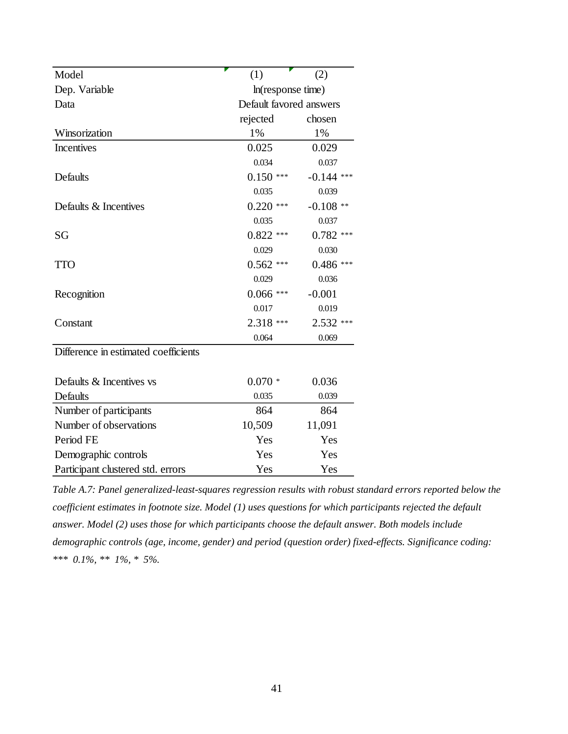| Model                                | (1)                     | (2)               |
|--------------------------------------|-------------------------|-------------------|
| Dep. Variable                        | ln(resposes time)       |                   |
| Data                                 | Default favored answers |                   |
|                                      | rejected                | chosen            |
| Winsorization                        | 1%                      | 1%                |
| <b>Incentives</b>                    | 0.025                   | 0.029             |
|                                      | 0.034                   | 0.037             |
| Defaults                             | $0.150***$              | $-0.144$<br>$***$ |
|                                      | 0.035                   | 0.039             |
| Defaults & Incentives                | $0.220$ ***             | $-0.108**$        |
|                                      | 0.035                   | 0.037             |
| SG                                   | $0.822$ ***             | $0.782$ ***       |
|                                      | 0.029                   | 0.030             |
| <b>TTO</b>                           | $0.562$ ***             | $0.486***$        |
|                                      | 0.029                   | 0.036             |
| Recognition                          | $0.066***$              | $-0.001$          |
|                                      | 0.017                   | 0.019             |
| Constant                             | 2.318 ***               | $2.532$ ***       |
|                                      | 0.064                   | 0.069             |
| Difference in estimated coefficients |                         |                   |
| Defaults & Incentives vs             | $0.070*$                | 0.036             |
| Defaults                             | 0.035                   | 0.039             |
| Number of participants               | 864                     | 864               |
| Number of observations               | 10,509                  | 11,091            |
| Period FE                            | Yes                     | Yes               |
| Demographic controls                 | Yes                     | Yes               |
| Participant clustered std. errors    | Yes                     | Yes               |
|                                      |                         |                   |

<span id="page-40-0"></span>*Table A.7: Panel generalized-least-squares regression results with robust standard errors reported below the coefficient estimates in footnote size. Model (1) uses questions for which participants rejected the default answer. Model (2) uses those for which participants choose the default answer. Both models include demographic controls (age, income, gender) and period (question order) fixed-effects. Significance coding: \*\*\* 0.1%, \*\* 1%, \* 5%.*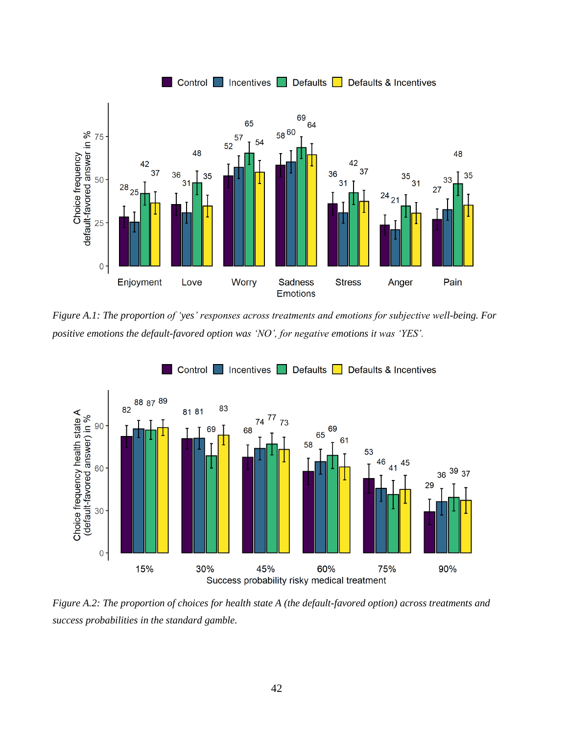

<span id="page-41-1"></span>*Figure A.1: The proportion of 'yes' responses across treatments and emotions for subjective well-being. For positive emotions the default-favored option was 'NO', for negative emotions it was 'YES'.*

<span id="page-41-0"></span>

<span id="page-41-2"></span>*Figure A.2: The proportion of choices for health state A (the default-favored option) across treatments and success probabilities in the standard gamble.*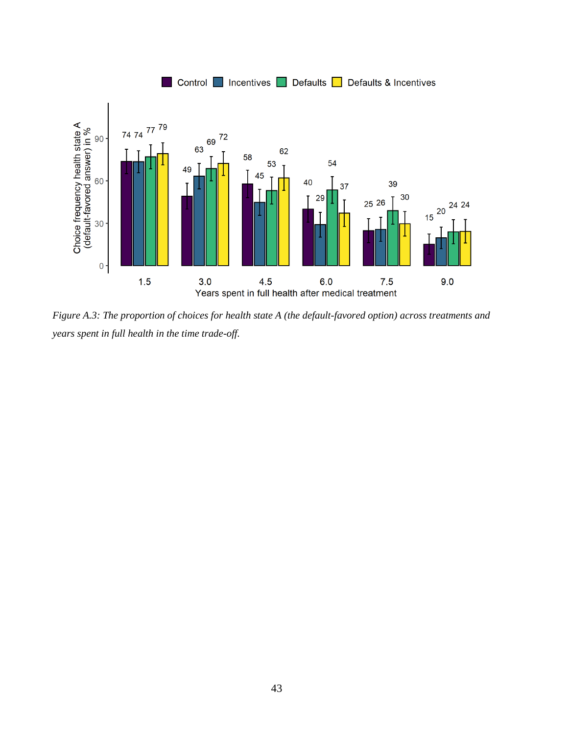

<span id="page-42-0"></span>*Figure A.3: The proportion of choices for health state A (the default-favored option) across treatments and years spent in full health in the time trade-off.*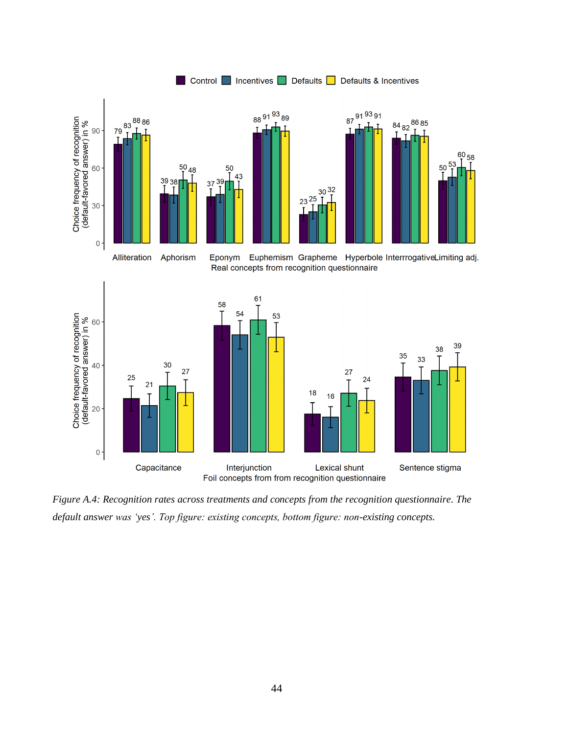

<span id="page-43-1"></span><span id="page-43-0"></span>*Figure A.4: Recognition rates across treatments and concepts from the recognition questionnaire. The default answer was 'yes'. Top figure: existing concepts, bottom figure: non-existing concepts.*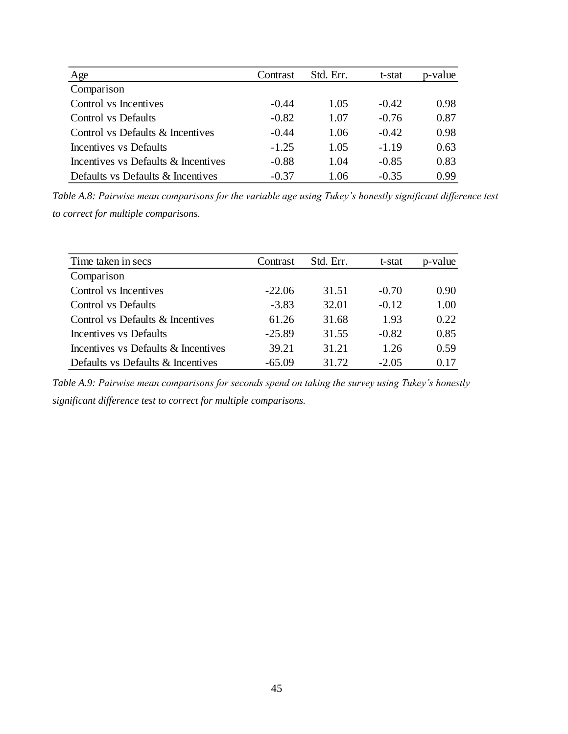| Age                                 | Contrast | Std. Err. | t-stat  | p-value |
|-------------------------------------|----------|-----------|---------|---------|
| Comparison                          |          |           |         |         |
| Control vs Incentives               | $-0.44$  | 1.05      | $-0.42$ | 0.98    |
| Control vs Defaults                 | $-0.82$  | 1.07      | $-0.76$ | 0.87    |
| Control vs Defaults & Incentives    | $-0.44$  | 1.06      | $-0.42$ | 0.98    |
| Incentives vs Defaults              | $-1.25$  | 1.05      | $-1.19$ | 0.63    |
| Incentives vs Defaults & Incentives | $-0.88$  | 1.04      | $-0.85$ | 0.83    |
| Defaults vs Defaults & Incentives   | $-0.37$  | 1.06      | $-0.35$ | 0.99    |

*Table A.8: Pairwise mean comparisons for the variable age using Tukey's honestly significant difference test to correct for multiple comparisons.*

| Time taken in secs                  | Contrast | Std. Err. | t-stat  | p-value |
|-------------------------------------|----------|-----------|---------|---------|
| Comparison                          |          |           |         |         |
| Control vs Incentives               | $-22.06$ | 31.51     | $-0.70$ | 0.90    |
| <b>Control</b> vs Defaults          | $-3.83$  | 32.01     | $-0.12$ | 1.00    |
| Control vs Defaults & Incentives    | 61.26    | 31.68     | 1.93    | 0.22    |
| Incentives vs Defaults              | $-25.89$ | 31.55     | $-0.82$ | 0.85    |
| Incentives vs Defaults & Incentives | 39.21    | 31.21     | 1.26    | 0.59    |
| Defaults vs Defaults & Incentives   | $-65.09$ | 31.72     | $-2.05$ | 0.17    |
|                                     |          |           |         |         |

*Table A.9: Pairwise mean comparisons for seconds spend on taking the survey using Tukey's honestly significant difference test to correct for multiple comparisons.*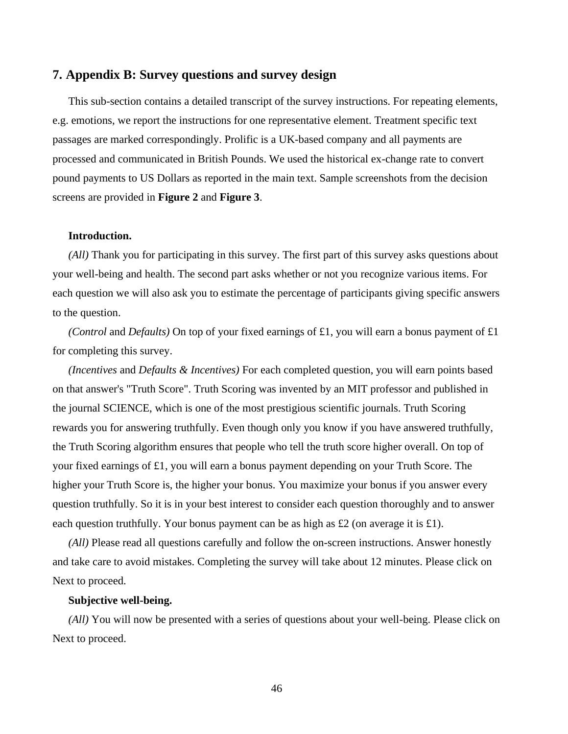# **7. Appendix B: Survey questions and survey design**

This sub-section contains a detailed transcript of the survey instructions. For repeating elements, e.g. emotions, we report the instructions for one representative element. Treatment specific text passages are marked correspondingly. Prolific is a UK-based company and all payments are processed and communicated in British Pounds. We used the historical ex-change rate to convert pound payments to US Dollars as reported in the main text. Sample screenshots from the decision screens are provided in **[Figure 2](#page-8-2)** and **[Figure 3](#page-8-3)**.

#### **Introduction.**

*(All)* Thank you for participating in this survey. The first part of this survey asks questions about your well-being and health. The second part asks whether or not you recognize various items. For each question we will also ask you to estimate the percentage of participants giving specific answers to the question.

*(Control and Defaults)* On top of your fixed earnings of £1, you will earn a bonus payment of £1 for completing this survey.

*(Incentives* and *Defaults & Incentives)* For each completed question, you will earn points based on that answer's "Truth Score". Truth Scoring was invented by an MIT professor and published in the journal SCIENCE, which is one of the most prestigious scientific journals. Truth Scoring rewards you for answering truthfully. Even though only you know if you have answered truthfully, the Truth Scoring algorithm ensures that people who tell the truth score higher overall. On top of your fixed earnings of £1, you will earn a bonus payment depending on your Truth Score. The higher your Truth Score is, the higher your bonus. You maximize your bonus if you answer every question truthfully. So it is in your best interest to consider each question thoroughly and to answer each question truthfully. Your bonus payment can be as high as £2 (on average it is £1).

*(All)* Please read all questions carefully and follow the on-screen instructions. Answer honestly and take care to avoid mistakes. Completing the survey will take about 12 minutes. Please click on Next to proceed.

#### **Subjective well-being.**

*(All)* You will now be presented with a series of questions about your well-being. Please click on Next to proceed.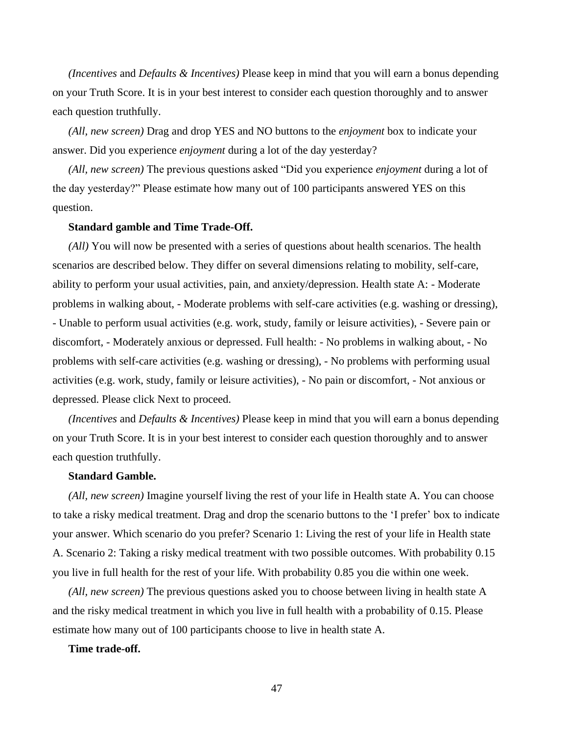*(Incentives* and *Defaults & Incentives)* Please keep in mind that you will earn a bonus depending on your Truth Score. It is in your best interest to consider each question thoroughly and to answer each question truthfully.

*(All, new screen)* Drag and drop YES and NO buttons to the *enjoyment* box to indicate your answer. Did you experience *enjoyment* during a lot of the day yesterday?

*(All, new screen)* The previous questions asked "Did you experience *enjoyment* during a lot of the day yesterday?" Please estimate how many out of 100 participants answered YES on this question.

#### **Standard gamble and Time Trade-Off.**

*(All)* You will now be presented with a series of questions about health scenarios. The health scenarios are described below. They differ on several dimensions relating to mobility, self-care, ability to perform your usual activities, pain, and anxiety/depression. Health state A: - Moderate problems in walking about, - Moderate problems with self-care activities (e.g. washing or dressing), - Unable to perform usual activities (e.g. work, study, family or leisure activities), - Severe pain or discomfort, - Moderately anxious or depressed. Full health: - No problems in walking about, - No problems with self-care activities (e.g. washing or dressing), - No problems with performing usual activities (e.g. work, study, family or leisure activities), - No pain or discomfort, - Not anxious or depressed. Please click Next to proceed.

*(Incentives* and *Defaults & Incentives)* Please keep in mind that you will earn a bonus depending on your Truth Score. It is in your best interest to consider each question thoroughly and to answer each question truthfully.

## **Standard Gamble.**

*(All, new screen)* Imagine yourself living the rest of your life in Health state A. You can choose to take a risky medical treatment. Drag and drop the scenario buttons to the 'I prefer' box to indicate your answer. Which scenario do you prefer? Scenario 1: Living the rest of your life in Health state A. Scenario 2: Taking a risky medical treatment with two possible outcomes. With probability 0.15 you live in full health for the rest of your life. With probability 0.85 you die within one week.

*(All, new screen)* The previous questions asked you to choose between living in health state A and the risky medical treatment in which you live in full health with a probability of 0.15. Please estimate how many out of 100 participants choose to live in health state A.

## **Time trade-off.**